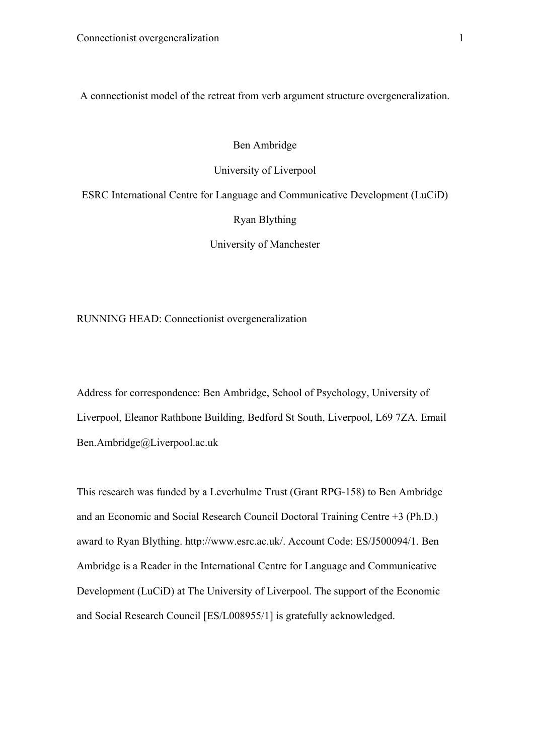A connectionist model of the retreat from verb argument structure overgeneralization.

## Ben Ambridge

## University of Liverpool

ESRC International Centre for Language and Communicative Development (LuCiD) Ryan Blything

University of Manchester

RUNNING HEAD: Connectionist overgeneralization

Address for correspondence: Ben Ambridge, School of Psychology, University of Liverpool, Eleanor Rathbone Building, Bedford St South, Liverpool, L69 7ZA. Email Ben.Ambridge@Liverpool.ac.uk

This research was funded by a Leverhulme Trust (Grant RPG-158) to Ben Ambridge and an Economic and Social Research Council Doctoral Training Centre +3 (Ph.D.) award to Ryan Blything. http://www.esrc.ac.uk/. Account Code: ES/J500094/1. Ben Ambridge is a Reader in the International Centre for Language and Communicative Development (LuCiD) at The University of Liverpool. The support of the Economic and Social Research Council [ES/L008955/1] is gratefully acknowledged.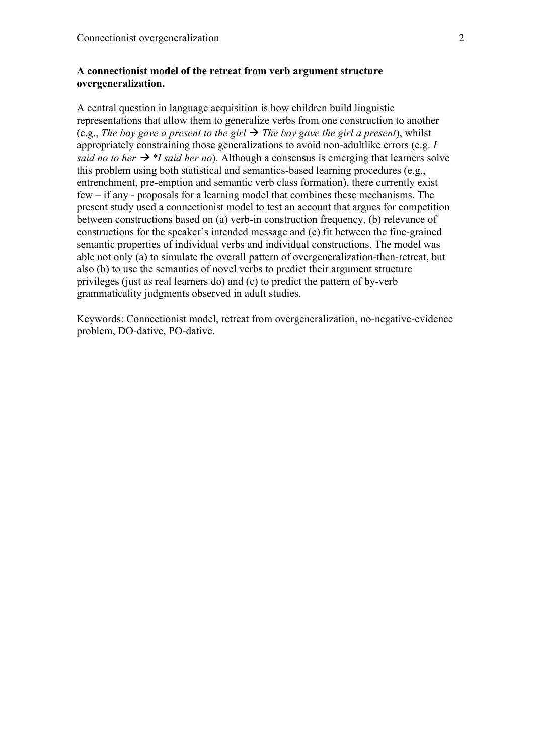# **A connectionist model of the retreat from verb argument structure overgeneralization.**

A central question in language acquisition is how children build linguistic representations that allow them to generalize verbs from one construction to another (e.g., *The boy gave a present to the girl*  $\rightarrow$  *The boy gave the girl a present*), whilst appropriately constraining those generalizations to avoid non-adultlike errors (e.g. *I said no to her*  $\rightarrow$  *\*I said her no*). Although a consensus is emerging that learners solve this problem using both statistical and semantics-based learning procedures (e.g., entrenchment, pre-emption and semantic verb class formation), there currently exist few – if any - proposals for a learning model that combines these mechanisms. The present study used a connectionist model to test an account that argues for competition between constructions based on (a) verb-in construction frequency, (b) relevance of constructions for the speaker's intended message and (c) fit between the fine-grained semantic properties of individual verbs and individual constructions. The model was able not only (a) to simulate the overall pattern of overgeneralization-then-retreat, but also (b) to use the semantics of novel verbs to predict their argument structure privileges (just as real learners do) and (c) to predict the pattern of by-verb grammaticality judgments observed in adult studies.

Keywords: Connectionist model, retreat from overgeneralization, no-negative-evidence problem, DO-dative, PO-dative.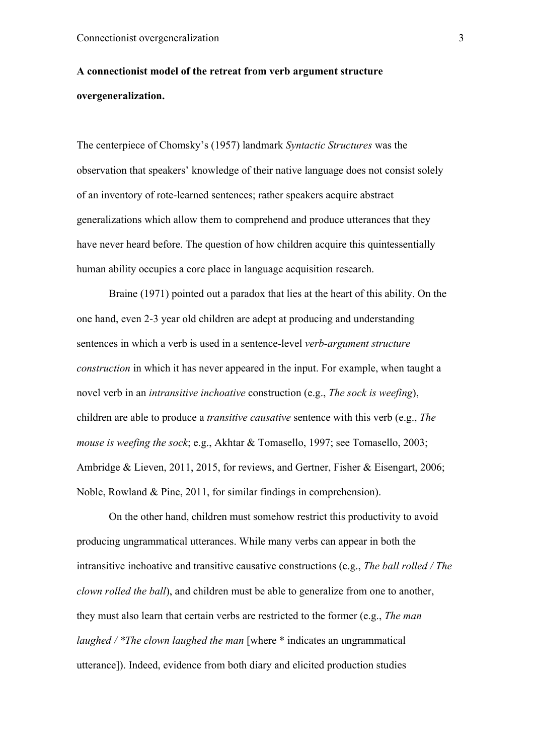# **A connectionist model of the retreat from verb argument structure overgeneralization.**

The centerpiece of Chomsky's (1957) landmark *Syntactic Structures* was the observation that speakers' knowledge of their native language does not consist solely of an inventory of rote-learned sentences; rather speakers acquire abstract generalizations which allow them to comprehend and produce utterances that they have never heard before. The question of how children acquire this quintessentially human ability occupies a core place in language acquisition research.

Braine (1971) pointed out a paradox that lies at the heart of this ability. On the one hand, even 2-3 year old children are adept at producing and understanding sentences in which a verb is used in a sentence-level *verb-argument structure construction* in which it has never appeared in the input. For example, when taught a novel verb in an *intransitive inchoative* construction (e.g., *The sock is weefing*), children are able to produce a *transitive causative* sentence with this verb (e.g., *The mouse is weefing the sock*; e.g., Akhtar & Tomasello, 1997; see Tomasello, 2003; Ambridge & Lieven, 2011, 2015, for reviews, and Gertner, Fisher & Eisengart, 2006; Noble, Rowland & Pine, 2011, for similar findings in comprehension).

On the other hand, children must somehow restrict this productivity to avoid producing ungrammatical utterances. While many verbs can appear in both the intransitive inchoative and transitive causative constructions (e.g., *The ball rolled / The clown rolled the ball*), and children must be able to generalize from one to another, they must also learn that certain verbs are restricted to the former (e.g., *The man laughed / \*The clown laughed the man* [where \* indicates an ungrammatical utterance]). Indeed, evidence from both diary and elicited production studies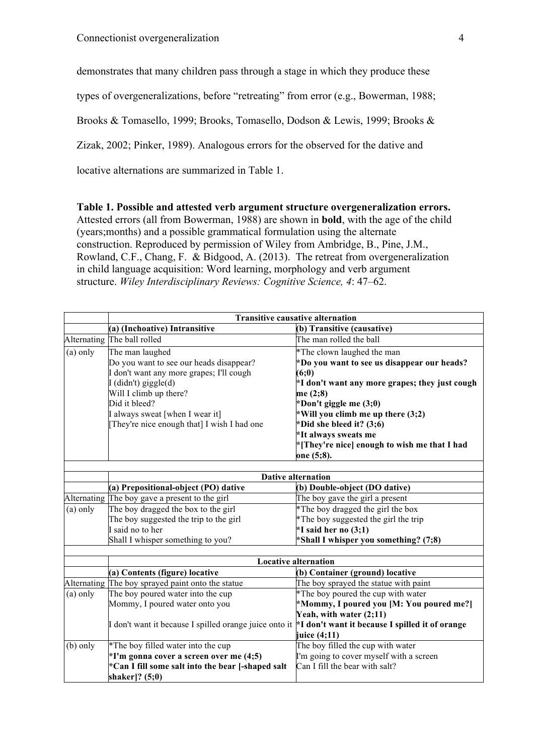demonstrates that many children pass through a stage in which they produce these

types of overgeneralizations, before "retreating" from error (e.g., Bowerman, 1988;

Brooks & Tomasello, 1999; Brooks, Tomasello, Dodson & Lewis, 1999; Brooks &

Zizak, 2002; Pinker, 1989). Analogous errors for the observed for the dative and

locative alternations are summarized in Table 1.

**Table 1. Possible and attested verb argument structure overgeneralization errors.**  Attested errors (all from Bowerman, 1988) are shown in **bold**, with the age of the child (years;months) and a possible grammatical formulation using the alternate construction. Reproduced by permission of Wiley from Ambridge, B., Pine, J.M., Rowland, C.F., Chang, F. & Bidgood, A. (2013). The retreat from overgeneralization in child language acquisition: Word learning, morphology and verb argument structure. *Wiley Interdisciplinary Reviews: Cognitive Science, 4*: 47–62.

|            | <b>Transitive causative alternation</b>                |                                                 |  |  |  |  |  |  |  |  |
|------------|--------------------------------------------------------|-------------------------------------------------|--|--|--|--|--|--|--|--|
|            | (a) (Inchoative) Intransitive                          | (b) Transitive (causative)                      |  |  |  |  |  |  |  |  |
|            | Alternating The ball rolled                            | The man rolled the ball                         |  |  |  |  |  |  |  |  |
| $(a)$ only | The man laughed                                        | *The clown laughed the man                      |  |  |  |  |  |  |  |  |
|            | Do you want to see our heads disappear?                | *Do you want to see us disappear our heads?     |  |  |  |  |  |  |  |  |
|            | don't want any more grapes; I'll cough                 | (6;0)                                           |  |  |  |  |  |  |  |  |
|            | I (didn't) giggle(d)                                   | *I don't want any more grapes; they just cough  |  |  |  |  |  |  |  |  |
|            | Will I climb up there?                                 | me (2;8)                                        |  |  |  |  |  |  |  |  |
|            | Did it bleed?                                          | *Don't giggle me (3;0)                          |  |  |  |  |  |  |  |  |
|            | I always sweat [when I wear it]                        | *Will you climb me up there (3;2)               |  |  |  |  |  |  |  |  |
|            | [They're nice enough that] I wish I had one            | *Did she bleed it? (3;6)                        |  |  |  |  |  |  |  |  |
|            |                                                        | *It always sweats me                            |  |  |  |  |  |  |  |  |
|            |                                                        | *[They're nice] enough to wish me that I had    |  |  |  |  |  |  |  |  |
|            |                                                        | one (5;8).                                      |  |  |  |  |  |  |  |  |
|            |                                                        |                                                 |  |  |  |  |  |  |  |  |
|            | <b>Dative alternation</b>                              |                                                 |  |  |  |  |  |  |  |  |
|            | (a) Prepositional-object (PO) dative                   | (b) Double-object (DO dative)                   |  |  |  |  |  |  |  |  |
|            | Alternating The boy gave a present to the girl         | The boy gave the girl a present                 |  |  |  |  |  |  |  |  |
| $(a)$ only | The boy dragged the box to the girl                    | *The boy dragged the girl the box               |  |  |  |  |  |  |  |  |
|            | The boy suggested the trip to the girl                 | *The boy suggested the girl the trip            |  |  |  |  |  |  |  |  |
|            | I said no to her                                       | $*I$ said her no $(3;1)$                        |  |  |  |  |  |  |  |  |
|            | Shall I whisper something to you?                      | *Shall I whisper you something? (7;8)           |  |  |  |  |  |  |  |  |
|            |                                                        |                                                 |  |  |  |  |  |  |  |  |
|            |                                                        | <b>Locative alternation</b>                     |  |  |  |  |  |  |  |  |
|            | (a) Contents (figure) locative                         | (b) Container (ground) locative                 |  |  |  |  |  |  |  |  |
|            | Alternating The boy sprayed paint onto the statue      | The boy sprayed the statue with paint           |  |  |  |  |  |  |  |  |
| $(a)$ only | The boy poured water into the cup                      | *The boy poured the cup with water              |  |  |  |  |  |  |  |  |
|            | Mommy, I poured water onto you                         | *Mommy, I poured you [M: You poured me?]        |  |  |  |  |  |  |  |  |
|            |                                                        | Yeah, with water (2;11)                         |  |  |  |  |  |  |  |  |
|            | I don't want it because I spilled orange juice onto it | *I don't want it because I spilled it of orange |  |  |  |  |  |  |  |  |
|            |                                                        | juice (4;11)                                    |  |  |  |  |  |  |  |  |
| $(b)$ only | *The boy filled water into the cup                     | The boy filled the cup with water               |  |  |  |  |  |  |  |  |
|            | $*I'm$ gonna cover a screen over me $(4;5)$            | I'm going to cover myself with a screen         |  |  |  |  |  |  |  |  |
|            | *Can I fill some salt into the bear [-shaped salt      | Can I fill the bear with salt?                  |  |  |  |  |  |  |  |  |
|            | shaker]? (5;0)                                         |                                                 |  |  |  |  |  |  |  |  |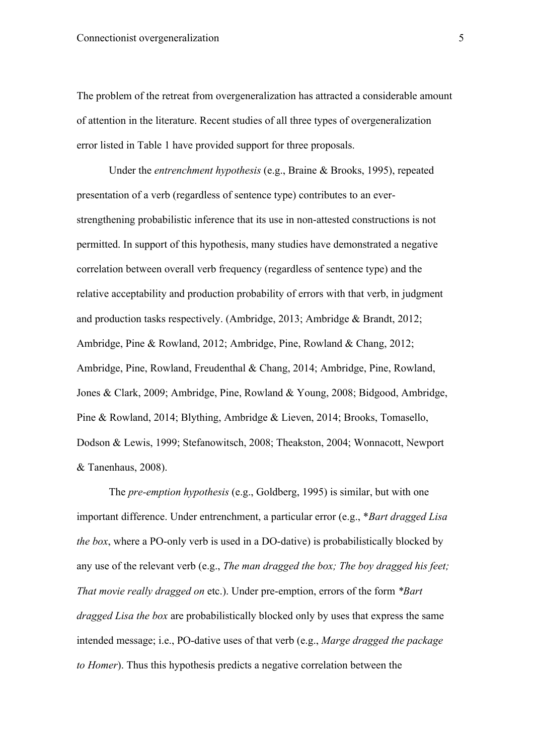The problem of the retreat from overgeneralization has attracted a considerable amount of attention in the literature. Recent studies of all three types of overgeneralization error listed in Table 1 have provided support for three proposals.

Under the *entrenchment hypothesis* (e.g., Braine & Brooks, 1995), repeated presentation of a verb (regardless of sentence type) contributes to an everstrengthening probabilistic inference that its use in non-attested constructions is not permitted. In support of this hypothesis, many studies have demonstrated a negative correlation between overall verb frequency (regardless of sentence type) and the relative acceptability and production probability of errors with that verb, in judgment and production tasks respectively. (Ambridge, 2013; Ambridge & Brandt, 2012; Ambridge, Pine & Rowland, 2012; Ambridge, Pine, Rowland & Chang, 2012; Ambridge, Pine, Rowland, Freudenthal & Chang, 2014; Ambridge, Pine, Rowland, Jones & Clark, 2009; Ambridge, Pine, Rowland & Young, 2008; Bidgood, Ambridge, Pine & Rowland, 2014; Blything, Ambridge & Lieven, 2014; Brooks, Tomasello, Dodson & Lewis, 1999; Stefanowitsch, 2008; Theakston, 2004; Wonnacott, Newport & Tanenhaus, 2008).

The *pre-emption hypothesis* (e.g., Goldberg, 1995) is similar, but with one important difference. Under entrenchment, a particular error (e.g., \**Bart dragged Lisa the box*, where a PO-only verb is used in a DO-dative) is probabilistically blocked by any use of the relevant verb (e.g., *The man dragged the box; The boy dragged his feet; That movie really dragged on* etc.). Under pre-emption, errors of the form *\*Bart dragged Lisa the box* are probabilistically blocked only by uses that express the same intended message; i.e., PO-dative uses of that verb (e.g., *Marge dragged the package to Homer*). Thus this hypothesis predicts a negative correlation between the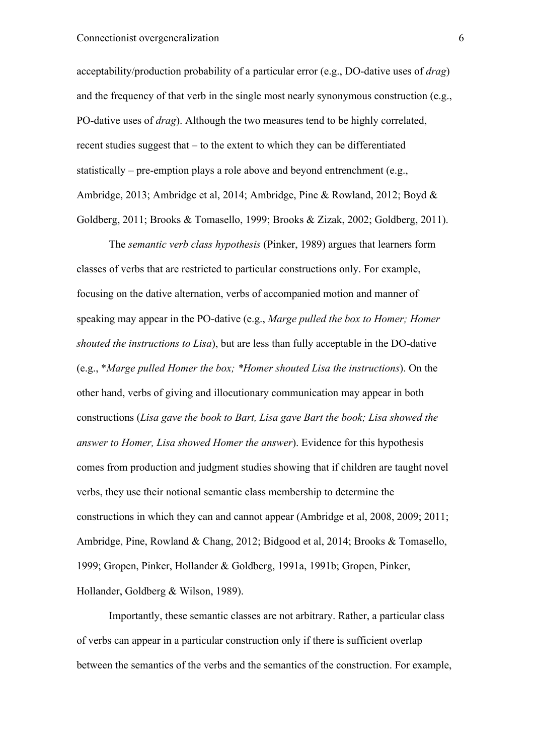acceptability/production probability of a particular error (e.g., DO-dative uses of *drag*) and the frequency of that verb in the single most nearly synonymous construction (e.g., PO-dative uses of *drag*). Although the two measures tend to be highly correlated, recent studies suggest that – to the extent to which they can be differentiated statistically – pre-emption plays a role above and beyond entrenchment (e.g., Ambridge, 2013; Ambridge et al, 2014; Ambridge, Pine & Rowland, 2012; Boyd & Goldberg, 2011; Brooks & Tomasello, 1999; Brooks & Zizak, 2002; Goldberg, 2011).

The *semantic verb class hypothesis* (Pinker, 1989) argues that learners form classes of verbs that are restricted to particular constructions only. For example, focusing on the dative alternation, verbs of accompanied motion and manner of speaking may appear in the PO-dative (e.g., *Marge pulled the box to Homer; Homer shouted the instructions to Lisa*), but are less than fully acceptable in the DO-dative (e.g., \**Marge pulled Homer the box; \*Homer shouted Lisa the instructions*). On the other hand, verbs of giving and illocutionary communication may appear in both constructions (*Lisa gave the book to Bart, Lisa gave Bart the book; Lisa showed the answer to Homer, Lisa showed Homer the answer*). Evidence for this hypothesis comes from production and judgment studies showing that if children are taught novel verbs, they use their notional semantic class membership to determine the constructions in which they can and cannot appear (Ambridge et al, 2008, 2009; 2011; Ambridge, Pine, Rowland & Chang, 2012; Bidgood et al, 2014; Brooks & Tomasello, 1999; Gropen, Pinker, Hollander & Goldberg, 1991a, 1991b; Gropen, Pinker, Hollander, Goldberg & Wilson, 1989).

Importantly, these semantic classes are not arbitrary. Rather, a particular class of verbs can appear in a particular construction only if there is sufficient overlap between the semantics of the verbs and the semantics of the construction. For example,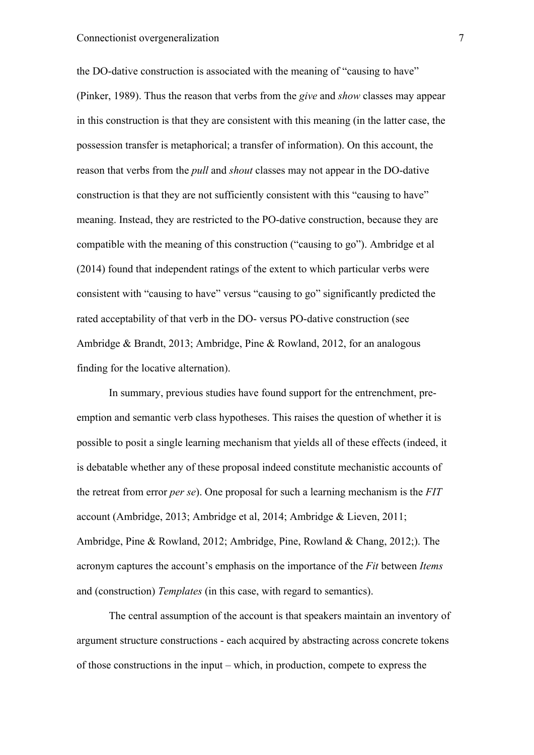the DO-dative construction is associated with the meaning of "causing to have" (Pinker, 1989). Thus the reason that verbs from the *give* and *show* classes may appear in this construction is that they are consistent with this meaning (in the latter case, the possession transfer is metaphorical; a transfer of information). On this account, the reason that verbs from the *pull* and *shout* classes may not appear in the DO-dative construction is that they are not sufficiently consistent with this "causing to have" meaning. Instead, they are restricted to the PO-dative construction, because they are compatible with the meaning of this construction ("causing to go"). Ambridge et al (2014) found that independent ratings of the extent to which particular verbs were consistent with "causing to have" versus "causing to go" significantly predicted the rated acceptability of that verb in the DO- versus PO-dative construction (see Ambridge & Brandt, 2013; Ambridge, Pine & Rowland, 2012, for an analogous finding for the locative alternation).

In summary, previous studies have found support for the entrenchment, preemption and semantic verb class hypotheses. This raises the question of whether it is possible to posit a single learning mechanism that yields all of these effects (indeed, it is debatable whether any of these proposal indeed constitute mechanistic accounts of the retreat from error *per se*). One proposal for such a learning mechanism is the *FIT* account (Ambridge, 2013; Ambridge et al, 2014; Ambridge & Lieven, 2011; Ambridge, Pine & Rowland, 2012; Ambridge, Pine, Rowland & Chang, 2012;). The acronym captures the account's emphasis on the importance of the *Fit* between *Items* and (construction) *Templates* (in this case, with regard to semantics).

The central assumption of the account is that speakers maintain an inventory of argument structure constructions - each acquired by abstracting across concrete tokens of those constructions in the input – which, in production, compete to express the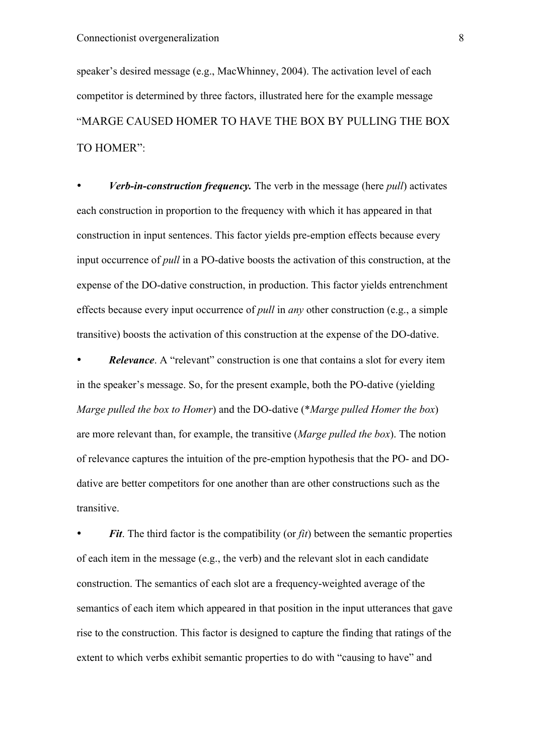speaker's desired message (e.g., MacWhinney, 2004). The activation level of each competitor is determined by three factors, illustrated here for the example message "MARGE CAUSED HOMER TO HAVE THE BOX BY PULLING THE BOX TO HOMER":

• *Verb-in-construction frequency.* The verb in the message (here *pull*) activates each construction in proportion to the frequency with which it has appeared in that construction in input sentences. This factor yields pre-emption effects because every input occurrence of *pull* in a PO-dative boosts the activation of this construction, at the expense of the DO-dative construction, in production. This factor yields entrenchment effects because every input occurrence of *pull* in *any* other construction (e.g., a simple transitive) boosts the activation of this construction at the expense of the DO-dative.

• *Relevance*. A "relevant" construction is one that contains a slot for every item in the speaker's message. So, for the present example, both the PO-dative (yielding *Marge pulled the box to Homer*) and the DO-dative (\**Marge pulled Homer the box*) are more relevant than, for example, the transitive (*Marge pulled the box*). The notion of relevance captures the intuition of the pre-emption hypothesis that the PO- and DOdative are better competitors for one another than are other constructions such as the transitive.

• *Fit*. The third factor is the compatibility (or *fit*) between the semantic properties of each item in the message (e.g., the verb) and the relevant slot in each candidate construction. The semantics of each slot are a frequency-weighted average of the semantics of each item which appeared in that position in the input utterances that gave rise to the construction. This factor is designed to capture the finding that ratings of the extent to which verbs exhibit semantic properties to do with "causing to have" and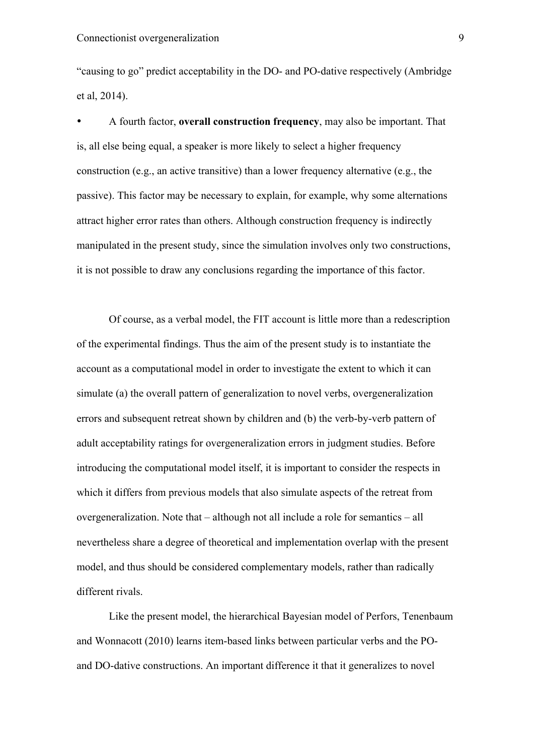"causing to go" predict acceptability in the DO- and PO-dative respectively (Ambridge et al, 2014).

• A fourth factor, **overall construction frequency**, may also be important. That is, all else being equal, a speaker is more likely to select a higher frequency construction (e.g., an active transitive) than a lower frequency alternative (e.g., the passive). This factor may be necessary to explain, for example, why some alternations attract higher error rates than others. Although construction frequency is indirectly manipulated in the present study, since the simulation involves only two constructions, it is not possible to draw any conclusions regarding the importance of this factor.

Of course, as a verbal model, the FIT account is little more than a redescription of the experimental findings. Thus the aim of the present study is to instantiate the account as a computational model in order to investigate the extent to which it can simulate (a) the overall pattern of generalization to novel verbs, overgeneralization errors and subsequent retreat shown by children and (b) the verb-by-verb pattern of adult acceptability ratings for overgeneralization errors in judgment studies. Before introducing the computational model itself, it is important to consider the respects in which it differs from previous models that also simulate aspects of the retreat from overgeneralization. Note that – although not all include a role for semantics – all nevertheless share a degree of theoretical and implementation overlap with the present model, and thus should be considered complementary models, rather than radically different rivals.

Like the present model, the hierarchical Bayesian model of Perfors, Tenenbaum and Wonnacott (2010) learns item-based links between particular verbs and the POand DO-dative constructions. An important difference it that it generalizes to novel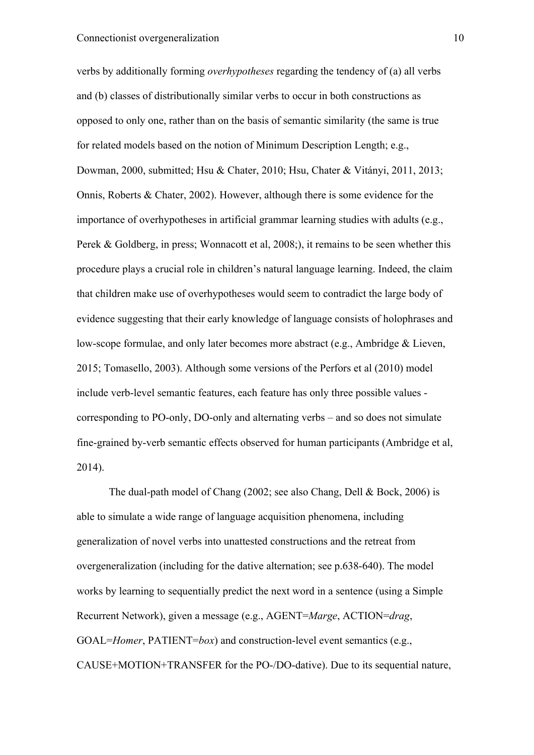verbs by additionally forming *overhypotheses* regarding the tendency of (a) all verbs and (b) classes of distributionally similar verbs to occur in both constructions as opposed to only one, rather than on the basis of semantic similarity (the same is true for related models based on the notion of Minimum Description Length; e.g., Dowman, 2000, submitted; Hsu & Chater, 2010; Hsu, Chater & Vitányi, 2011, 2013; Onnis, Roberts & Chater, 2002). However, although there is some evidence for the importance of overhypotheses in artificial grammar learning studies with adults (e.g., Perek & Goldberg, in press; Wonnacott et al, 2008;), it remains to be seen whether this procedure plays a crucial role in children's natural language learning. Indeed, the claim that children make use of overhypotheses would seem to contradict the large body of evidence suggesting that their early knowledge of language consists of holophrases and low-scope formulae, and only later becomes more abstract (e.g., Ambridge & Lieven, 2015; Tomasello, 2003). Although some versions of the Perfors et al (2010) model include verb-level semantic features, each feature has only three possible values corresponding to PO-only, DO-only and alternating verbs – and so does not simulate fine-grained by-verb semantic effects observed for human participants (Ambridge et al, 2014).

The dual-path model of Chang (2002; see also Chang, Dell & Bock, 2006) is able to simulate a wide range of language acquisition phenomena, including generalization of novel verbs into unattested constructions and the retreat from overgeneralization (including for the dative alternation; see p.638-640). The model works by learning to sequentially predict the next word in a sentence (using a Simple Recurrent Network), given a message (e.g., AGENT=*Marge*, ACTION=*drag*, GOAL=*Homer*, PATIENT=*box*) and construction-level event semantics (e.g., CAUSE+MOTION+TRANSFER for the PO-/DO-dative). Due to its sequential nature,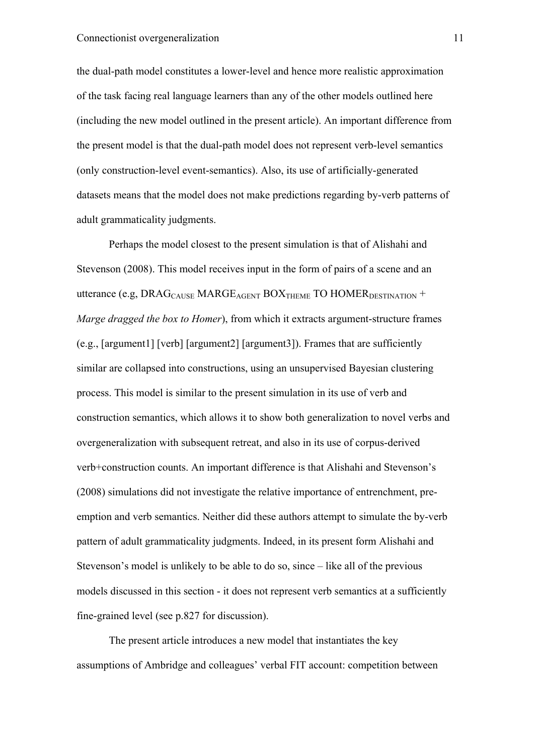the dual-path model constitutes a lower-level and hence more realistic approximation of the task facing real language learners than any of the other models outlined here (including the new model outlined in the present article). An important difference from the present model is that the dual-path model does not represent verb-level semantics (only construction-level event-semantics). Also, its use of artificially-generated datasets means that the model does not make predictions regarding by-verb patterns of adult grammaticality judgments.

Perhaps the model closest to the present simulation is that of Alishahi and Stevenson (2008). This model receives input in the form of pairs of a scene and an utterance (e.g, DRAG<sub>CAUSE</sub> MARGE<sub>AGENT</sub> BOX<sub>THEME</sub> TO HOMER<sub>DESTINATION</sub> + *Marge dragged the box to Homer*), from which it extracts argument-structure frames (e.g., [argument1] [verb] [argument2] [argument3]). Frames that are sufficiently similar are collapsed into constructions, using an unsupervised Bayesian clustering process. This model is similar to the present simulation in its use of verb and construction semantics, which allows it to show both generalization to novel verbs and overgeneralization with subsequent retreat, and also in its use of corpus-derived verb+construction counts. An important difference is that Alishahi and Stevenson's (2008) simulations did not investigate the relative importance of entrenchment, preemption and verb semantics. Neither did these authors attempt to simulate the by-verb pattern of adult grammaticality judgments. Indeed, in its present form Alishahi and Stevenson's model is unlikely to be able to do so, since – like all of the previous models discussed in this section - it does not represent verb semantics at a sufficiently fine-grained level (see p.827 for discussion).

The present article introduces a new model that instantiates the key assumptions of Ambridge and colleagues' verbal FIT account: competition between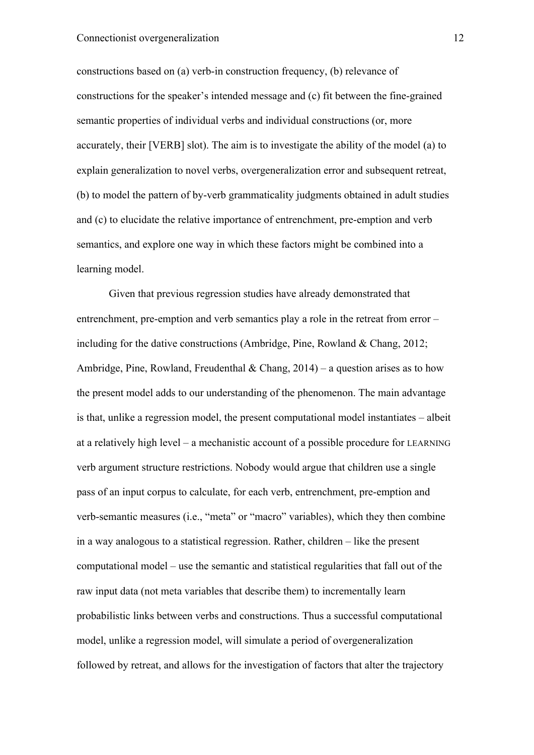constructions based on (a) verb-in construction frequency, (b) relevance of constructions for the speaker's intended message and (c) fit between the fine-grained semantic properties of individual verbs and individual constructions (or, more accurately, their [VERB] slot). The aim is to investigate the ability of the model (a) to explain generalization to novel verbs, overgeneralization error and subsequent retreat, (b) to model the pattern of by-verb grammaticality judgments obtained in adult studies and (c) to elucidate the relative importance of entrenchment, pre-emption and verb semantics, and explore one way in which these factors might be combined into a learning model.

Given that previous regression studies have already demonstrated that entrenchment, pre-emption and verb semantics play a role in the retreat from error – including for the dative constructions (Ambridge, Pine, Rowland & Chang, 2012; Ambridge, Pine, Rowland, Freudenthal & Chang,  $2014$ ) – a question arises as to how the present model adds to our understanding of the phenomenon. The main advantage is that, unlike a regression model, the present computational model instantiates – albeit at a relatively high level – a mechanistic account of a possible procedure for LEARNING verb argument structure restrictions. Nobody would argue that children use a single pass of an input corpus to calculate, for each verb, entrenchment, pre-emption and verb-semantic measures (i.e., "meta" or "macro" variables), which they then combine in a way analogous to a statistical regression. Rather, children – like the present computational model – use the semantic and statistical regularities that fall out of the raw input data (not meta variables that describe them) to incrementally learn probabilistic links between verbs and constructions. Thus a successful computational model, unlike a regression model, will simulate a period of overgeneralization followed by retreat, and allows for the investigation of factors that alter the trajectory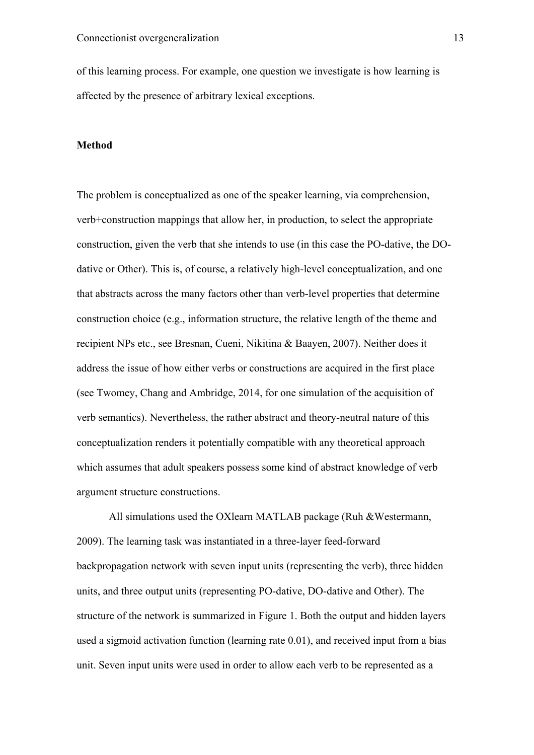of this learning process. For example, one question we investigate is how learning is affected by the presence of arbitrary lexical exceptions.

#### **Method**

The problem is conceptualized as one of the speaker learning, via comprehension, verb+construction mappings that allow her, in production, to select the appropriate construction, given the verb that she intends to use (in this case the PO-dative, the DOdative or Other). This is, of course, a relatively high-level conceptualization, and one that abstracts across the many factors other than verb-level properties that determine construction choice (e.g., information structure, the relative length of the theme and recipient NPs etc., see Bresnan, Cueni, Nikitina & Baayen, 2007). Neither does it address the issue of how either verbs or constructions are acquired in the first place (see Twomey, Chang and Ambridge, 2014, for one simulation of the acquisition of verb semantics). Nevertheless, the rather abstract and theory-neutral nature of this conceptualization renders it potentially compatible with any theoretical approach which assumes that adult speakers possess some kind of abstract knowledge of verb argument structure constructions.

All simulations used the OXlearn MATLAB package (Ruh &Westermann, 2009). The learning task was instantiated in a three-layer feed-forward backpropagation network with seven input units (representing the verb), three hidden units, and three output units (representing PO-dative, DO-dative and Other). The structure of the network is summarized in Figure 1. Both the output and hidden layers used a sigmoid activation function (learning rate 0.01), and received input from a bias unit. Seven input units were used in order to allow each verb to be represented as a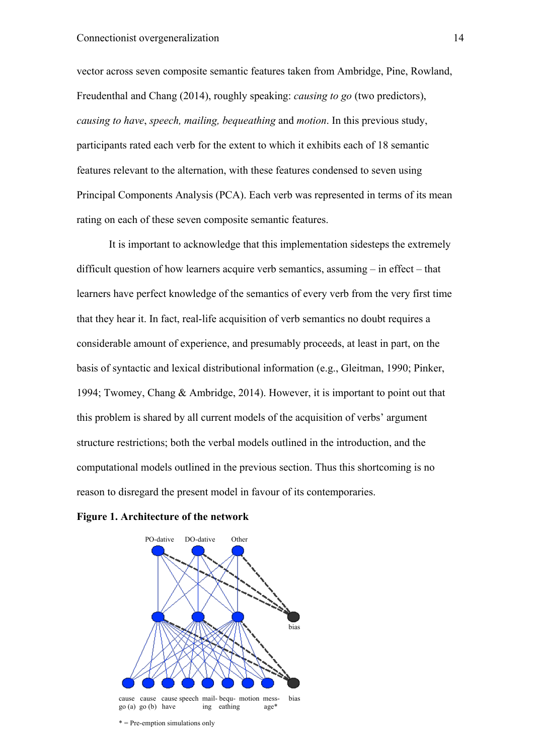vector across seven composite semantic features taken from Ambridge, Pine, Rowland, Freudenthal and Chang (2014), roughly speaking: *causing to go* (two predictors), *causing to have*, *speech, mailing, bequeathing* and *motion*. In this previous study, participants rated each verb for the extent to which it exhibits each of 18 semantic features relevant to the alternation, with these features condensed to seven using Principal Components Analysis (PCA). Each verb was represented in terms of its mean rating on each of these seven composite semantic features.

It is important to acknowledge that this implementation sidesteps the extremely difficult question of how learners acquire verb semantics, assuming – in effect – that learners have perfect knowledge of the semantics of every verb from the very first time that they hear it. In fact, real-life acquisition of verb semantics no doubt requires a considerable amount of experience, and presumably proceeds, at least in part, on the basis of syntactic and lexical distributional information (e.g., Gleitman, 1990; Pinker, 1994; Twomey, Chang & Ambridge, 2014). However, it is important to point out that this problem is shared by all current models of the acquisition of verbs' argument structure restrictions; both the verbal models outlined in the introduction, and the computational models outlined in the previous section. Thus this shortcoming is no reason to disregard the present model in favour of its contemporaries.





\* = Pre-emption simulations only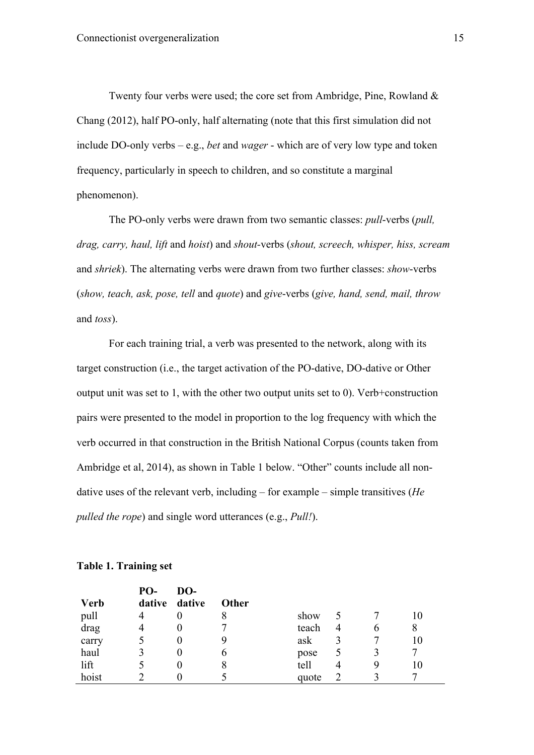Twenty four verbs were used; the core set from Ambridge, Pine, Rowland & Chang (2012), half PO-only, half alternating (note that this first simulation did not include DO-only verbs – e.g., *bet* and *wager* - which are of very low type and token frequency, particularly in speech to children, and so constitute a marginal phenomenon).

The PO-only verbs were drawn from two semantic classes: *pull*-verbs (*pull, drag, carry, haul, lift* and *hoist*) and *shout-*verbs (*shout, screech, whisper, hiss, scream* and *shriek*). The alternating verbs were drawn from two further classes: *show*-verbs (*show, teach, ask, pose, tell* and *quote*) and *give*-verbs (*give, hand, send, mail, throw* and *toss*).

For each training trial, a verb was presented to the network, along with its target construction (i.e., the target activation of the PO-dative, DO-dative or Other output unit was set to 1, with the other two output units set to 0). Verb+construction pairs were presented to the model in proportion to the log frequency with which the verb occurred in that construction in the British National Corpus (counts taken from Ambridge et al, 2014), as shown in Table 1 below. "Other" counts include all nondative uses of the relevant verb, including – for example – simple transitives (*He pulled the rope*) and single word utterances (e.g., *Pull!*).

| <b>Verb</b> | PO-<br>dative | DO-<br>dative | <b>Other</b> |       |                |   |    |
|-------------|---------------|---------------|--------------|-------|----------------|---|----|
| pull        | 4             | $\theta$      |              | show  |                |   |    |
| drag        | 4             | $\theta$      |              | teach | $\overline{4}$ | b | 8  |
| carry       |               | $\theta$      |              | ask   |                |   | 10 |
| haul        |               | $\theta$      | O            | pose  |                |   |    |
| lift        |               | $\theta$      | 8            | tell  | 4              | 9 |    |
| hoist       |               |               |              | quote |                |   |    |

# **Table 1. Training set**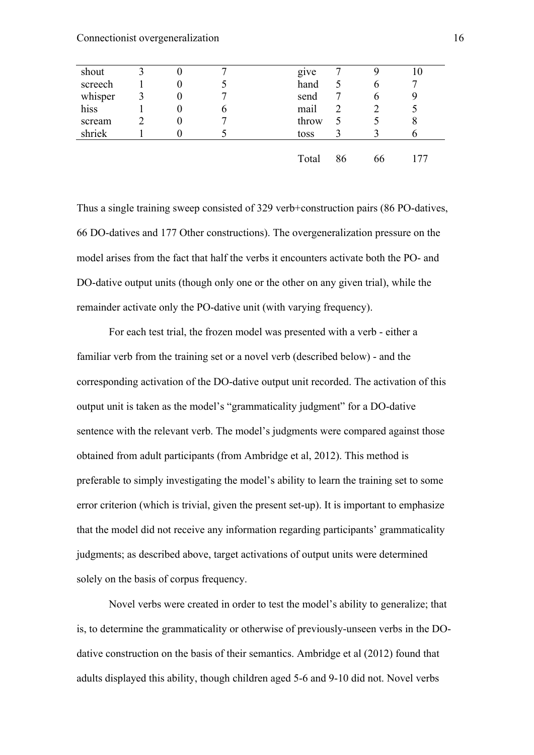Connectionist overgeneralization 16

| shout   | 2 |              | give  |    | 10 |
|---------|---|--------------|-------|----|----|
| screech |   |              | hand  | b  |    |
| whisper |   |              | send  | b  |    |
| hiss    |   | <sub>n</sub> | mail  |    |    |
| scream  |   |              | throw |    |    |
| shriek  |   |              | toss  |    |    |
|         |   |              |       |    |    |
|         |   |              | Total | 66 |    |

Thus a single training sweep consisted of 329 verb+construction pairs (86 PO-datives, 66 DO-datives and 177 Other constructions). The overgeneralization pressure on the model arises from the fact that half the verbs it encounters activate both the PO- and DO-dative output units (though only one or the other on any given trial), while the remainder activate only the PO-dative unit (with varying frequency).

For each test trial, the frozen model was presented with a verb - either a familiar verb from the training set or a novel verb (described below) - and the corresponding activation of the DO-dative output unit recorded. The activation of this output unit is taken as the model's "grammaticality judgment" for a DO-dative sentence with the relevant verb. The model's judgments were compared against those obtained from adult participants (from Ambridge et al, 2012). This method is preferable to simply investigating the model's ability to learn the training set to some error criterion (which is trivial, given the present set-up). It is important to emphasize that the model did not receive any information regarding participants' grammaticality judgments; as described above, target activations of output units were determined solely on the basis of corpus frequency.

Novel verbs were created in order to test the model's ability to generalize; that is, to determine the grammaticality or otherwise of previously-unseen verbs in the DOdative construction on the basis of their semantics. Ambridge et al (2012) found that adults displayed this ability, though children aged 5-6 and 9-10 did not. Novel verbs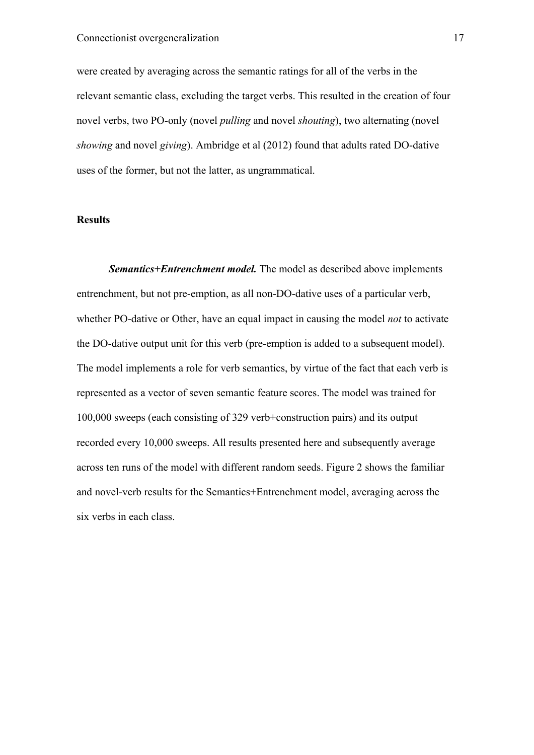were created by averaging across the semantic ratings for all of the verbs in the relevant semantic class, excluding the target verbs. This resulted in the creation of four novel verbs, two PO-only (novel *pulling* and novel *shouting*), two alternating (novel *showing* and novel *giving*). Ambridge et al (2012) found that adults rated DO-dative uses of the former, but not the latter, as ungrammatical.

## **Results**

*Semantics+Entrenchment model.* The model as described above implements entrenchment, but not pre-emption, as all non-DO-dative uses of a particular verb, whether PO-dative or Other, have an equal impact in causing the model *not* to activate the DO-dative output unit for this verb (pre-emption is added to a subsequent model). The model implements a role for verb semantics, by virtue of the fact that each verb is represented as a vector of seven semantic feature scores. The model was trained for 100,000 sweeps (each consisting of 329 verb+construction pairs) and its output recorded every 10,000 sweeps. All results presented here and subsequently average across ten runs of the model with different random seeds. Figure 2 shows the familiar and novel-verb results for the Semantics+Entrenchment model, averaging across the six verbs in each class.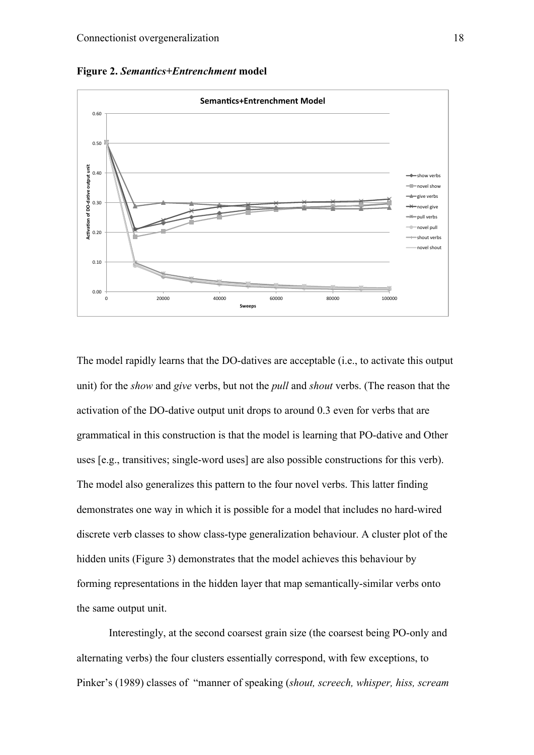



The model rapidly learns that the DO-datives are acceptable (i.e., to activate this output unit) for the *show* and *give* verbs, but not the *pull* and *shout* verbs. (The reason that the activation of the DO-dative output unit drops to around 0.3 even for verbs that are grammatical in this construction is that the model is learning that PO-dative and Other uses [e.g., transitives; single-word uses] are also possible constructions for this verb). The model also generalizes this pattern to the four novel verbs. This latter finding demonstrates one way in which it is possible for a model that includes no hard-wired discrete verb classes to show class-type generalization behaviour. A cluster plot of the hidden units (Figure 3) demonstrates that the model achieves this behaviour by forming representations in the hidden layer that map semantically-similar verbs onto the same output unit.

Interestingly, at the second coarsest grain size (the coarsest being PO-only and alternating verbs) the four clusters essentially correspond, with few exceptions, to Pinker's (1989) classes of "manner of speaking (*shout, screech, whisper, hiss, scream*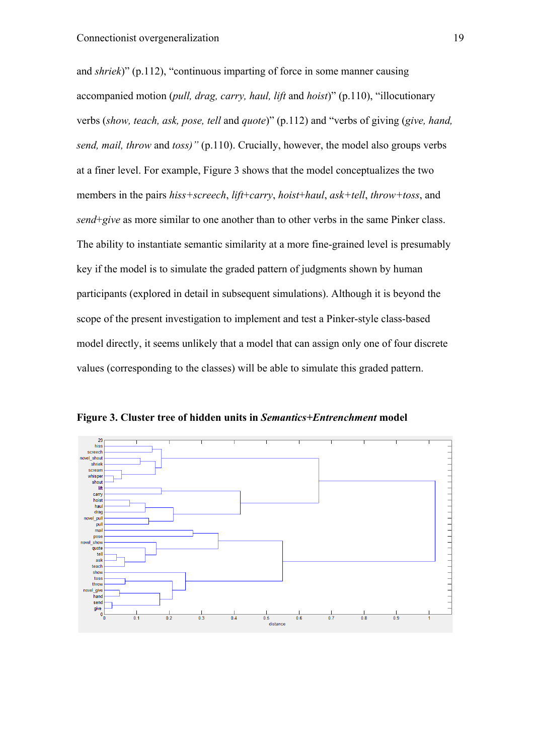and *shriek*)" (p.112), "continuous imparting of force in some manner causing accompanied motion (*pull, drag, carry, haul, lift* and *hoist*)" (p.110), "illocutionary verbs (*show, teach, ask, pose, tell* and *quote*)" (p.112) and "verbs of giving (*give, hand, send, mail, throw* and *toss)"* (p.110). Crucially, however, the model also groups verbs at a finer level. For example, Figure 3 shows that the model conceptualizes the two members in the pairs *hiss+screech*, *lift*+*carry*, *hoist*+*haul*, *ask+tell*, *throw+toss*, and *send*+*give* as more similar to one another than to other verbs in the same Pinker class. The ability to instantiate semantic similarity at a more fine-grained level is presumably key if the model is to simulate the graded pattern of judgments shown by human participants (explored in detail in subsequent simulations). Although it is beyond the scope of the present investigation to implement and test a Pinker-style class-based model directly, it seems unlikely that a model that can assign only one of four discrete values (corresponding to the classes) will be able to simulate this graded pattern.



**Figure 3. Cluster tree of hidden units in** *Semantics+Entrenchment* **model**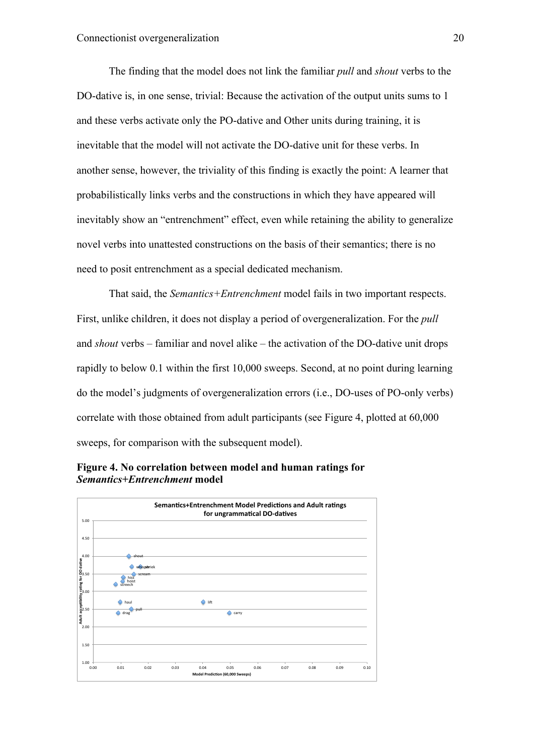The finding that the model does not link the familiar *pull* and *shout* verbs to the DO-dative is, in one sense, trivial: Because the activation of the output units sums to 1 and these verbs activate only the PO-dative and Other units during training, it is inevitable that the model will not activate the DO-dative unit for these verbs. In another sense, however, the triviality of this finding is exactly the point: A learner that probabilistically links verbs and the constructions in which they have appeared will inevitably show an "entrenchment" effect, even while retaining the ability to generalize novel verbs into unattested constructions on the basis of their semantics; there is no need to posit entrenchment as a special dedicated mechanism.

That said, the *Semantics+Entrenchment* model fails in two important respects. First, unlike children, it does not display a period of overgeneralization. For the *pull* and *shout* verbs – familiar and novel alike – the activation of the DO-dative unit drops rapidly to below 0.1 within the first 10,000 sweeps. Second, at no point during learning do the model's judgments of overgeneralization errors (i.e., DO-uses of PO-only verbs) correlate with those obtained from adult participants (see Figure 4, plotted at 60,000 sweeps, for comparison with the subsequent model).



**Figure 4. No correlation between model and human ratings for**  *Semantics+Entrenchment* **model**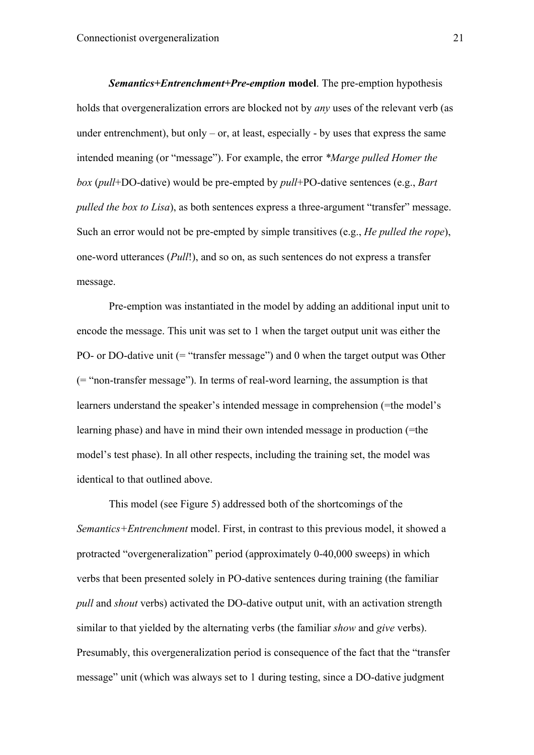*Semantics+Entrenchment+Pre-emption* **model**. The pre-emption hypothesis holds that overgeneralization errors are blocked not by *any* uses of the relevant verb (as under entrenchment), but only  $-$  or, at least, especially  $-$  by uses that express the same intended meaning (or "message"). For example, the error *\*Marge pulled Homer the box* (*pull*+DO-dative) would be pre-empted by *pull*+PO-dative sentences (e.g., *Bart pulled the box to Lisa*), as both sentences express a three-argument "transfer" message. Such an error would not be pre-empted by simple transitives (e.g., *He pulled the rope*), one-word utterances (*Pull*!), and so on, as such sentences do not express a transfer message.

Pre-emption was instantiated in the model by adding an additional input unit to encode the message. This unit was set to 1 when the target output unit was either the PO- or DO-dative unit (= "transfer message") and 0 when the target output was Other (= "non-transfer message"). In terms of real-word learning, the assumption is that learners understand the speaker's intended message in comprehension (=the model's learning phase) and have in mind their own intended message in production (=the model's test phase). In all other respects, including the training set, the model was identical to that outlined above.

This model (see Figure 5) addressed both of the shortcomings of the *Semantics+Entrenchment* model. First, in contrast to this previous model, it showed a protracted "overgeneralization" period (approximately 0-40,000 sweeps) in which verbs that been presented solely in PO-dative sentences during training (the familiar *pull* and *shout* verbs) activated the DO-dative output unit, with an activation strength similar to that yielded by the alternating verbs (the familiar *show* and *give* verbs). Presumably, this overgeneralization period is consequence of the fact that the "transfer message" unit (which was always set to 1 during testing, since a DO-dative judgment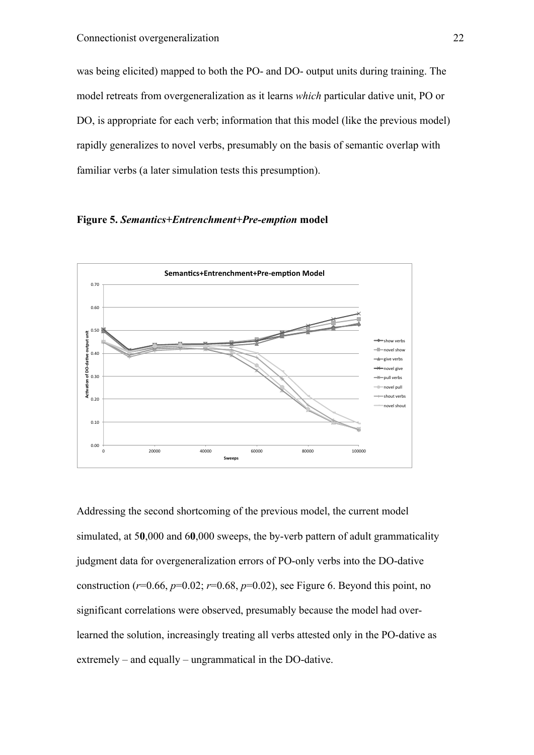was being elicited) mapped to both the PO- and DO- output units during training. The model retreats from overgeneralization as it learns *which* particular dative unit, PO or DO, is appropriate for each verb; information that this model (like the previous model) rapidly generalizes to novel verbs, presumably on the basis of semantic overlap with familiar verbs (a later simulation tests this presumption).





Addressing the second shortcoming of the previous model, the current model simulated, at 5**0**,000 and 6**0**,000 sweeps, the by-verb pattern of adult grammaticality judgment data for overgeneralization errors of PO-only verbs into the DO-dative construction ( $r=0.66$ ,  $p=0.02$ ;  $r=0.68$ ,  $p=0.02$ ), see Figure 6. Beyond this point, no significant correlations were observed, presumably because the model had overlearned the solution, increasingly treating all verbs attested only in the PO-dative as extremely – and equally – ungrammatical in the DO-dative.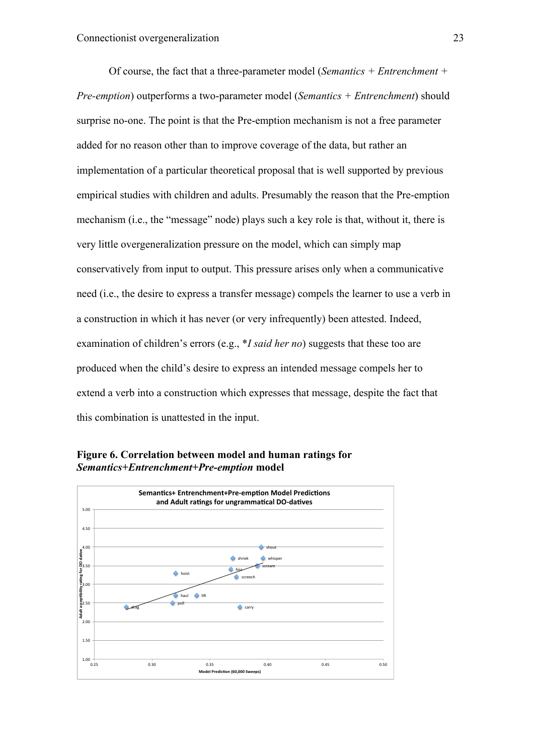Of course, the fact that a three-parameter model (*Semantics + Entrenchment + Pre-emption*) outperforms a two-parameter model (*Semantics + Entrenchment*) should surprise no-one. The point is that the Pre-emption mechanism is not a free parameter added for no reason other than to improve coverage of the data, but rather an implementation of a particular theoretical proposal that is well supported by previous empirical studies with children and adults. Presumably the reason that the Pre-emption mechanism (i.e., the "message" node) plays such a key role is that, without it, there is very little overgeneralization pressure on the model, which can simply map conservatively from input to output. This pressure arises only when a communicative need (i.e., the desire to express a transfer message) compels the learner to use a verb in a construction in which it has never (or very infrequently) been attested. Indeed, examination of children's errors (e.g., \**I said her no*) suggests that these too are produced when the child's desire to express an intended message compels her to extend a verb into a construction which expresses that message, despite the fact that this combination is unattested in the input.



**Figure 6. Correlation between model and human ratings for**  *Semantics+Entrenchment+Pre-emption* **model**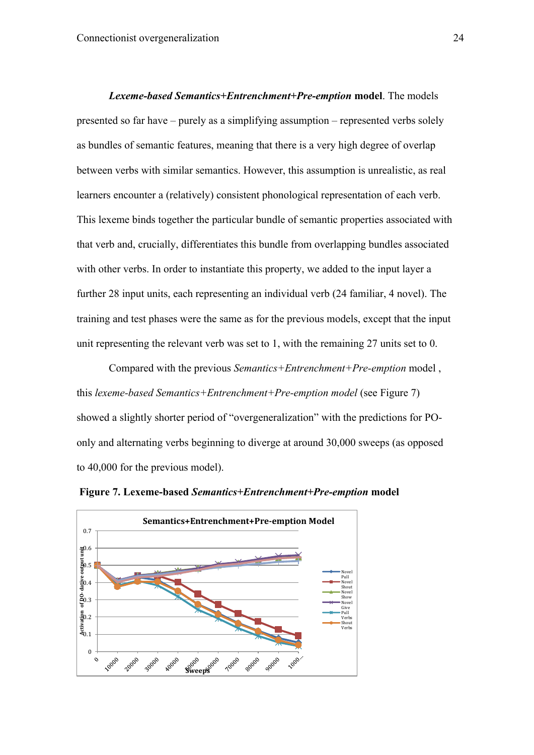*Lexeme-based Semantics+Entrenchment+Pre-emption* **model**. The models presented so far have – purely as a simplifying assumption – represented verbs solely as bundles of semantic features, meaning that there is a very high degree of overlap between verbs with similar semantics. However, this assumption is unrealistic, as real learners encounter a (relatively) consistent phonological representation of each verb. This lexeme binds together the particular bundle of semantic properties associated with that verb and, crucially, differentiates this bundle from overlapping bundles associated with other verbs. In order to instantiate this property, we added to the input layer a further 28 input units, each representing an individual verb (24 familiar, 4 novel). The training and test phases were the same as for the previous models, except that the input unit representing the relevant verb was set to 1, with the remaining 27 units set to 0.

Compared with the previous *Semantics+Entrenchment+Pre-emption* model , this *lexeme-based Semantics+Entrenchment+Pre-emption model* (see Figure 7) showed a slightly shorter period of "overgeneralization" with the predictions for POonly and alternating verbs beginning to diverge at around 30,000 sweeps (as opposed to 40,000 for the previous model).



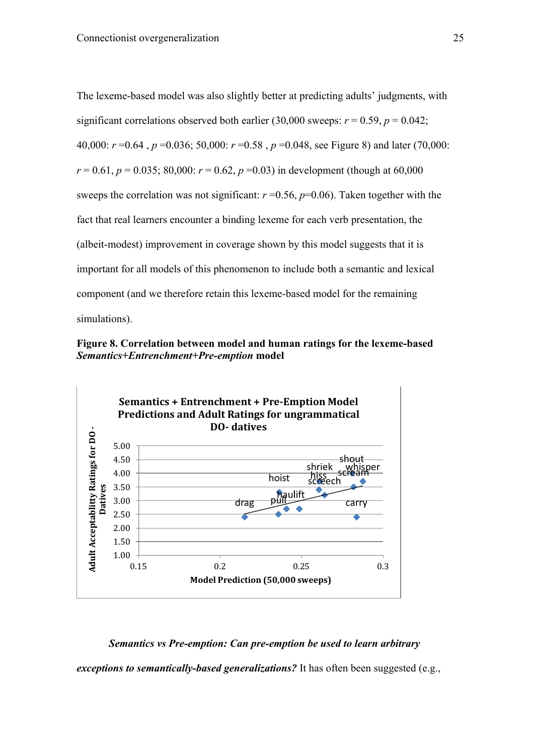The lexeme-based model was also slightly better at predicting adults' judgments, with significant correlations observed both earlier (30,000 sweeps:  $r = 0.59$ ,  $p = 0.042$ ; 40,000: *r* =0.64 , *p* =0.036; 50,000: *r* =0.58 , *p* =0.048, see Figure 8) and later (70,000:  $r = 0.61$ ,  $p = 0.035$ ; 80,000:  $r = 0.62$ ,  $p = 0.03$ ) in development (though at 60,000 sweeps the correlation was not significant:  $r = 0.56$ ,  $p = 0.06$ ). Taken together with the fact that real learners encounter a binding lexeme for each verb presentation, the (albeit-modest) improvement in coverage shown by this model suggests that it is important for all models of this phenomenon to include both a semantic and lexical component (and we therefore retain this lexeme-based model for the remaining simulations).





# *Semantics vs Pre-emption: Can pre-emption be used to learn arbitrary*

*exceptions to semantically-based generalizations?* It has often been suggested (e.g.,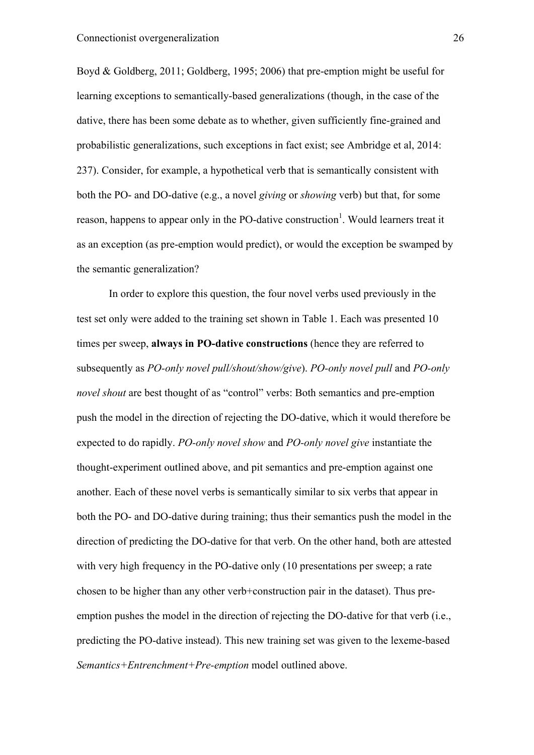Boyd & Goldberg, 2011; Goldberg, 1995; 2006) that pre-emption might be useful for learning exceptions to semantically-based generalizations (though, in the case of the dative, there has been some debate as to whether, given sufficiently fine-grained and probabilistic generalizations, such exceptions in fact exist; see Ambridge et al, 2014: 237). Consider, for example, a hypothetical verb that is semantically consistent with both the PO- and DO-dative (e.g., a novel *giving* or *showing* verb) but that, for some reason, happens to appear only in the PO-dative construction<sup>1</sup>. Would learners treat it as an exception (as pre-emption would predict), or would the exception be swamped by the semantic generalization?

In order to explore this question, the four novel verbs used previously in the test set only were added to the training set shown in Table 1. Each was presented 10 times per sweep, **always in PO-dative constructions** (hence they are referred to subsequently as *PO-only novel pull/shout/show/give*). *PO-only novel pull* and *PO-only novel shout* are best thought of as "control" verbs: Both semantics and pre-emption push the model in the direction of rejecting the DO-dative, which it would therefore be expected to do rapidly. *PO-only novel show* and *PO-only novel give* instantiate the thought-experiment outlined above, and pit semantics and pre-emption against one another. Each of these novel verbs is semantically similar to six verbs that appear in both the PO- and DO-dative during training; thus their semantics push the model in the direction of predicting the DO-dative for that verb. On the other hand, both are attested with very high frequency in the PO-dative only (10 presentations per sweep; a rate chosen to be higher than any other verb+construction pair in the dataset). Thus preemption pushes the model in the direction of rejecting the DO-dative for that verb (i.e., predicting the PO-dative instead). This new training set was given to the lexeme-based *Semantics+Entrenchment+Pre-emption* model outlined above.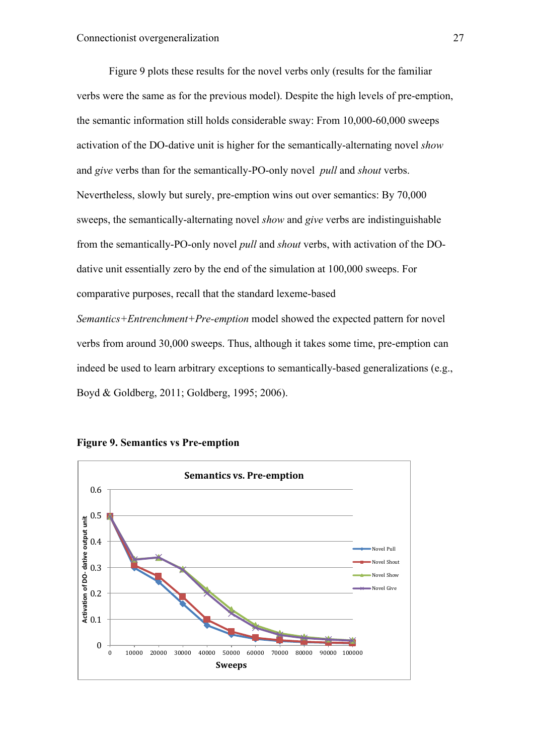Figure 9 plots these results for the novel verbs only (results for the familiar verbs were the same as for the previous model). Despite the high levels of pre-emption, the semantic information still holds considerable sway: From 10,000-60,000 sweeps activation of the DO-dative unit is higher for the semantically-alternating novel *show* and *give* verbs than for the semantically-PO-only novel *pull* and *shout* verbs. Nevertheless, slowly but surely, pre-emption wins out over semantics: By 70,000 sweeps, the semantically-alternating novel *show* and *give* verbs are indistinguishable from the semantically-PO-only novel *pull* and *shout* verbs, with activation of the DOdative unit essentially zero by the end of the simulation at 100,000 sweeps. For comparative purposes, recall that the standard lexeme-based *Semantics+Entrenchment+Pre-emption* model showed the expected pattern for novel verbs from around 30,000 sweeps. Thus, although it takes some time, pre-emption can indeed be used to learn arbitrary exceptions to semantically-based generalizations (e.g., Boyd & Goldberg, 2011; Goldberg, 1995; 2006).



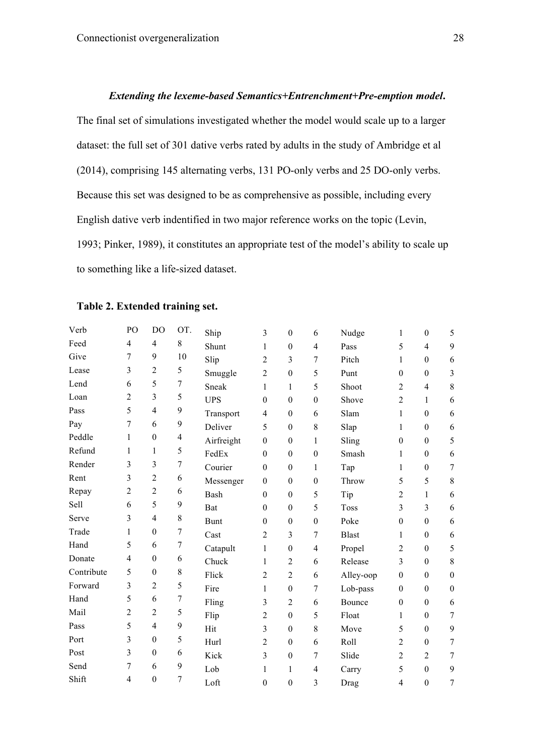#### *Extending the lexeme-based Semantics+Entrenchment+Pre-emption model***.**

The final set of simulations investigated whether the model would scale up to a larger dataset: the full set of 301 dative verbs rated by adults in the study of Ambridge et al (2014), comprising 145 alternating verbs, 131 PO-only verbs and 25 DO-only verbs. Because this set was designed to be as comprehensive as possible, including every English dative verb indentified in two major reference works on the topic (Levin, 1993; Pinker, 1989), it constitutes an appropriate test of the model's ability to scale up to something like a life-sized dataset.

| Verb       | PO             | DO               | OT.              | Ship        | 3                | $\boldsymbol{0}$ | 6                | Nudge        | 1                | $\boldsymbol{0}$ | 5                |
|------------|----------------|------------------|------------------|-------------|------------------|------------------|------------------|--------------|------------------|------------------|------------------|
| Feed       | 4              | 4                | 8                | Shunt       | 1                | $\theta$         | 4                | Pass         | 5                | $\overline{4}$   | 9                |
| Give       | 7              | 9                | 10               | Slip        | $\overline{2}$   | 3                | 7                | Pitch        | 1                | $\boldsymbol{0}$ | 6                |
| Lease      | 3              | $\overline{2}$   | 5                | Smuggle     | $\overline{2}$   | $\boldsymbol{0}$ | 5                | Punt         | $\boldsymbol{0}$ | $\boldsymbol{0}$ | 3                |
| Lend       | 6              | 5                | $\boldsymbol{7}$ | Sneak       | 1                | 1                | 5                | Shoot        | $\overline{2}$   | $\overline{4}$   | $\,$ 8 $\,$      |
| Loan       | 2              | 3                | 5                | <b>UPS</b>  | $\boldsymbol{0}$ | $\boldsymbol{0}$ | $\boldsymbol{0}$ | Shove        | $\overline{c}$   | $\mathbf{1}$     | $\boldsymbol{6}$ |
| Pass       | 5              | 4                | 9                | Transport   | $\overline{4}$   | $\boldsymbol{0}$ | 6                | Slam         | 1                | $\theta$         | 6                |
| Pay        | 7              | 6                | 9                | Deliver     | 5                | $\boldsymbol{0}$ | $\,$ 8 $\,$      | Slap         | 1                | $\boldsymbol{0}$ | $\boldsymbol{6}$ |
| Peddle     | 1              | $\boldsymbol{0}$ | $\overline{4}$   | Airfreight  | $\boldsymbol{0}$ | $\boldsymbol{0}$ | 1                | Sling        | $\boldsymbol{0}$ | $\boldsymbol{0}$ | 5                |
| Refund     | 1              | 1                | 5                | FedEx       | $\theta$         | $\boldsymbol{0}$ | $\boldsymbol{0}$ | Smash        | 1                | $\boldsymbol{0}$ | 6                |
| Render     | 3              | 3                | $\boldsymbol{7}$ | Courier     | $\boldsymbol{0}$ | $\boldsymbol{0}$ | 1                | Tap          | 1                | $\boldsymbol{0}$ | $\overline{7}$   |
| Rent       | 3              | 2                | 6                | Messenger   | $\boldsymbol{0}$ | $\boldsymbol{0}$ | $\boldsymbol{0}$ | Throw        | 5                | 5                | $\,8\,$          |
| Repay      | $\overline{2}$ | $\overline{2}$   | 6                | Bash        | $\theta$         | $\boldsymbol{0}$ | 5                | Tip          | 2                | 1                | 6                |
| Sell       | 6              | 5                | 9                | Bat         | $\theta$         | $\boldsymbol{0}$ | 5                | <b>Toss</b>  | 3                | $\overline{3}$   | $\boldsymbol{6}$ |
| Serve      | 3              | $\overline{4}$   | $\,$ 8 $\,$      | <b>Bunt</b> | $\theta$         | $\boldsymbol{0}$ | $\theta$         | Poke         | $\theta$         | $\boldsymbol{0}$ | 6                |
| Trade      | 1              | $\boldsymbol{0}$ | $\overline{7}$   | Cast        | 2                | 3                | 7                | <b>Blast</b> | 1                | $\boldsymbol{0}$ | 6                |
| Hand       | 5              | 6                | 7                | Catapult    | 1                | $\boldsymbol{0}$ | $\overline{4}$   | Propel       | $\overline{2}$   | $\boldsymbol{0}$ | 5                |
| Donate     | $\overline{4}$ | $\boldsymbol{0}$ | 6                | Chuck       | 1                | $\overline{2}$   | 6                | Release      | 3                | $\boldsymbol{0}$ | $\,8\,$          |
| Contribute | 5              | $\boldsymbol{0}$ | $\,$ 8 $\,$      | Flick       | 2                | $\overline{2}$   | 6                | Alley-oop    | $\boldsymbol{0}$ | $\boldsymbol{0}$ | $\boldsymbol{0}$ |
| Forward    | 3              | $\overline{2}$   | 5                | Fire        | 1                | $\boldsymbol{0}$ | 7                | Lob-pass     | $\theta$         | $\mathbf{0}$     | $\boldsymbol{0}$ |
| Hand       | 5              | 6                | $\overline{7}$   | Fling       | 3                | $\overline{2}$   | 6                | Bounce       | $\theta$         | $\boldsymbol{0}$ | 6                |
| Mail       | 2              | $\overline{2}$   | 5                | Flip        | $\overline{2}$   | $\boldsymbol{0}$ | 5                | Float        | 1                | $\boldsymbol{0}$ | $\overline{7}$   |
| Pass       | 5              | $\overline{4}$   | 9                | Hit         | 3                | $\boldsymbol{0}$ | 8                | Move         | 5                | $\boldsymbol{0}$ | 9                |
| Port       | 3              | $\boldsymbol{0}$ | 5                | Hurl        | 2                | $\boldsymbol{0}$ | 6                | Roll         | $\overline{2}$   | $\boldsymbol{0}$ | $\tau$           |
| Post       | 3              | $\mathbf{0}$     | 6                | Kick        | 3                | $\boldsymbol{0}$ | 7                | Slide        | 2                | $\overline{2}$   | $\tau$           |
| Send       | 7              | 6                | 9                | Lob         | 1                | 1                | 4                | Carry        | 5                | $\boldsymbol{0}$ | 9                |
| Shift      | $\overline{4}$ | $\boldsymbol{0}$ | 7                | Loft        | $\boldsymbol{0}$ | $\boldsymbol{0}$ | 3                | Drag         | $\overline{4}$   | $\mathbf{0}$     | 7                |
|            |                |                  |                  |             |                  |                  |                  |              |                  |                  |                  |

#### **Table 2. Extended training set.**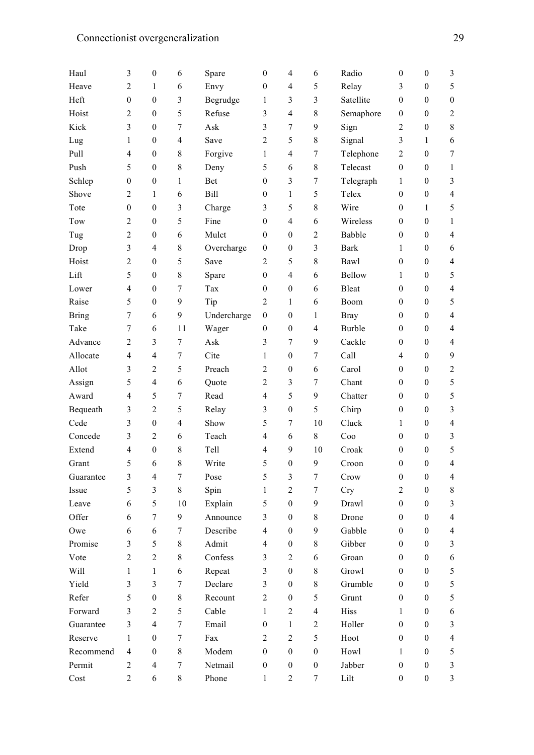| Haul         | 3                | $\boldsymbol{0}$ | 6              | Spare       | $\boldsymbol{0}$         | 4                | 6                | Radio           | $\mathbf{0}$     | $\boldsymbol{0}$ | 3                |
|--------------|------------------|------------------|----------------|-------------|--------------------------|------------------|------------------|-----------------|------------------|------------------|------------------|
| Heave        | $\overline{2}$   | 1                | 6              | Envy        | $\boldsymbol{0}$         | $\overline{4}$   | 5                | Relay           | 3                | $\boldsymbol{0}$ | 5                |
| Heft         | $\boldsymbol{0}$ | $\boldsymbol{0}$ | 3              | Begrudge    | 1                        | 3                | 3                | Satellite       | $\mathbf{0}$     | $\boldsymbol{0}$ | $\boldsymbol{0}$ |
| Hoist        | $\overline{2}$   | $\boldsymbol{0}$ | 5              | Refuse      | 3                        | $\overline{4}$   | 8                | Semaphore       | $\mathbf{0}$     | $\boldsymbol{0}$ | $\overline{2}$   |
| Kick         | 3                | $\boldsymbol{0}$ | 7              | Ask         | 3                        | $\tau$           | 9                | Sign            | $\overline{c}$   | $\boldsymbol{0}$ | 8                |
| Lug          | 1                | $\boldsymbol{0}$ | $\overline{4}$ | Save        | 2                        | 5                | 8                | Signal          | 3                | 1                | 6                |
| Pull         | 4                | $\boldsymbol{0}$ | 8              | Forgive     | 1                        | $\overline{4}$   | 7                | Telephone       | 2                | $\boldsymbol{0}$ | $\tau$           |
| Push         | 5                | $\boldsymbol{0}$ | 8              | Deny        | 5                        | 6                | 8                | Telecast        | $\boldsymbol{0}$ | $\boldsymbol{0}$ | $\mathbf{1}$     |
| Schlep       | $\boldsymbol{0}$ | $\boldsymbol{0}$ | 1              | <b>Bet</b>  | $\boldsymbol{0}$         | 3                | 7                | Telegraph       | 1                | $\boldsymbol{0}$ | 3                |
| Shove        | $\overline{2}$   | 1                | 6              | Bill        | $\boldsymbol{0}$         | 1                | 5                | Telex           | $\boldsymbol{0}$ | $\boldsymbol{0}$ | $\overline{4}$   |
| Tote         | $\boldsymbol{0}$ | $\boldsymbol{0}$ | 3              | Charge      | 3                        | 5                | 8                | Wire            | $\mathbf{0}$     | 1                | 5                |
| Tow          | $\overline{2}$   | $\boldsymbol{0}$ | 5              | Fine        | $\boldsymbol{0}$         | $\overline{4}$   | 6                | Wireless        | $\mathbf{0}$     | $\boldsymbol{0}$ | $\mathbf{1}$     |
| Tug          | $\overline{2}$   | $\boldsymbol{0}$ | 6              | Mulct       | $\boldsymbol{0}$         | $\boldsymbol{0}$ | $\overline{2}$   | Babble          | $\mathbf{0}$     | $\boldsymbol{0}$ | $\overline{4}$   |
| Drop         | 3                | $\overline{4}$   | 8              | Overcharge  | $\theta$                 | $\boldsymbol{0}$ | 3                | <b>Bark</b>     | 1                | $\mathbf{0}$     | 6                |
| Hoist        | $\overline{2}$   | $\boldsymbol{0}$ | 5              | Save        | $\overline{2}$           | 5                | 8                | Bawl            | $\boldsymbol{0}$ | $\boldsymbol{0}$ | $\overline{4}$   |
| Lift         | 5                | $\boldsymbol{0}$ | 8              | Spare       | $\boldsymbol{0}$         | $\overline{4}$   | 6                | <b>Bellow</b>   | 1                | $\boldsymbol{0}$ | 5                |
| Lower        | 4                | $\theta$         | 7              | Tax         | $\boldsymbol{0}$         | $\boldsymbol{0}$ | 6                | <b>Bleat</b>    | $\mathbf{0}$     | $\boldsymbol{0}$ | $\overline{4}$   |
| Raise        | 5                | $\theta$         | 9              | Tip         | $\overline{2}$           | 1                | 6                | Boom            | $\mathbf{0}$     | $\mathbf{0}$     | 5                |
| <b>Bring</b> | $\tau$           | 6                | 9              | Undercharge | $\boldsymbol{0}$         | $\boldsymbol{0}$ | 1                | <b>Bray</b>     | $\boldsymbol{0}$ | $\boldsymbol{0}$ | $\overline{4}$   |
| Take         | 7                | 6                | 11             | Wager       | $\boldsymbol{0}$         | $\boldsymbol{0}$ | $\overline{4}$   | <b>Burble</b>   | $\mathbf{0}$     | $\boldsymbol{0}$ | $\overline{4}$   |
| Advance      | $\overline{2}$   | 3                | 7              | Ask         | 3                        | 7                | 9                | Cackle          | $\mathbf{0}$     | $\boldsymbol{0}$ | $\overline{4}$   |
| Allocate     | $\overline{4}$   | $\overline{4}$   | 7              | Cite        | 1                        | $\boldsymbol{0}$ | 7                | Call            | 4                | $\boldsymbol{0}$ | $\overline{9}$   |
| Allot        | 3                | $\overline{2}$   | 5              | Preach      | $\overline{2}$           | $\boldsymbol{0}$ | 6                | Carol           | $\mathbf{0}$     | $\boldsymbol{0}$ | $\overline{2}$   |
| Assign       | 5                | $\overline{4}$   | 6              | Quote       | $\overline{2}$           | 3                | 7                | Chant           | $\mathbf{0}$     | $\boldsymbol{0}$ | 5                |
| Award        | 4                | 5                | 7              | Read        | 4                        | 5                | 9                | Chatter         | $\mathbf{0}$     | $\boldsymbol{0}$ | 5                |
| Bequeath     | 3                | $\overline{2}$   | 5              | Relay       | 3                        | $\boldsymbol{0}$ | 5                | Chirp           | $\mathbf{0}$     | $\boldsymbol{0}$ | $\mathfrak{Z}$   |
| Cede         | 3                | $\boldsymbol{0}$ | $\overline{4}$ | Show        | 5                        | 7                | 10               | Cluck           | 1                | $\boldsymbol{0}$ | $\overline{4}$   |
| Concede      | 3                | $\overline{2}$   | 6              | Teach       | 4                        | 6                | 8                | C <sub>00</sub> | $\mathbf{0}$     | $\boldsymbol{0}$ | $\mathfrak{Z}$   |
| Extend       | 4                | $\boldsymbol{0}$ | 8              | Tell        | 4                        | 9                | 10               | Croak           | 0                | $\boldsymbol{0}$ | 5                |
| Grant        | 5                | 6                | 8              | Write       | 5                        | $\boldsymbol{0}$ | 9                | Croon           | $\mathbf{0}$     | $\boldsymbol{0}$ | $\overline{4}$   |
| Guarantee    | 3                | 4                | $\tau$         | Pose        | 5                        | 3                | $\tau$           | Crow            | $\boldsymbol{0}$ | $\mathbf{0}$     | $\overline{4}$   |
| Issue        | 5                | 3                | 8              | Spin        | 1                        | $\overline{c}$   | 7                | <b>Cry</b>      | 2                | $\mathbf{0}$     | 8                |
| Leave        | 6                | 5                | 10             | Explain     | 5                        | $\boldsymbol{0}$ | 9                | Drawl           | $\boldsymbol{0}$ | $\mathbf{0}$     | $\mathfrak{Z}$   |
| Offer        | 6                | $\tau$           | 9              | Announce    | 3                        | $\theta$         | 8                | Drone           | $\mathbf{0}$     | $\mathbf{0}$     | $\overline{4}$   |
| Owe          | 6                | 6                | 7              | Describe    | 4                        | $\theta$         | 9                | Gabble          | $\mathbf{0}$     | $\mathbf{0}$     | $\overline{4}$   |
| Promise      | 3                | 5                | 8              | Admit       | $\overline{\mathcal{L}}$ | 0                | 8                | Gibber          | $\mathbf{0}$     | $\mathbf{0}$     | 3                |
| Vote         | $\overline{2}$   | $\overline{2}$   | 8              | Confess     | 3                        | $\overline{c}$   | 6                | Groan           | $\mathbf{0}$     | $\boldsymbol{0}$ | 6                |
| Will         | $\mathbf{1}$     | $\mathbf{1}$     | 6              | Repeat      | 3                        | $\boldsymbol{0}$ | 8                | Growl           | $\mathbf{0}$     | $\mathbf{0}$     | 5                |
| Yield        | 3                | 3                | 7              | Declare     | 3                        | $\theta$         | 8                | Grumble         | $\mathbf{0}$     | $\mathbf{0}$     | 5                |
| Refer        | 5                | $\boldsymbol{0}$ | 8              | Recount     | $\overline{2}$           | $\theta$         | 5                | Grunt           | $\mathbf{0}$     | $\boldsymbol{0}$ | 5                |
| Forward      | 3                | 2                | 5              | Cable       | $\mathbf{1}$             | $\overline{c}$   | $\overline{4}$   | Hiss            | 1                | $\boldsymbol{0}$ | 6                |
| Guarantee    | 3                | $\overline{4}$   | $\tau$         | Email       | $\boldsymbol{0}$         | $\mathbf{1}$     | $\overline{c}$   | Holler          | $\boldsymbol{0}$ | $\mathbf{0}$     | 3                |
| Reserve      | 1                | $\mathbf{0}$     | $\tau$         | Fax         | 2                        | $\overline{c}$   | 5                | Hoot            | $\mathbf{0}$     | $\mathbf{0}$     | $\overline{4}$   |
| Recommend    | $\overline{4}$   | $\boldsymbol{0}$ | 8              | Modem       | $\boldsymbol{0}$         | $\boldsymbol{0}$ | $\mathbf{0}$     | Howl            | $\mathbf{1}$     | $\mathbf{0}$     | 5                |
| Permit       | $\overline{2}$   | $\overline{4}$   | 7              | Netmail     | $\boldsymbol{0}$         | $\boldsymbol{0}$ | $\boldsymbol{0}$ | Jabber          | $\boldsymbol{0}$ | $\boldsymbol{0}$ | $\mathfrak{Z}$   |
| Cost         | $\overline{c}$   | 6                | $8\,$          | Phone       | 1                        | $\overline{c}$   | $\tau$           | Lilt            | $\boldsymbol{0}$ | $\boldsymbol{0}$ | $\mathfrak{Z}$   |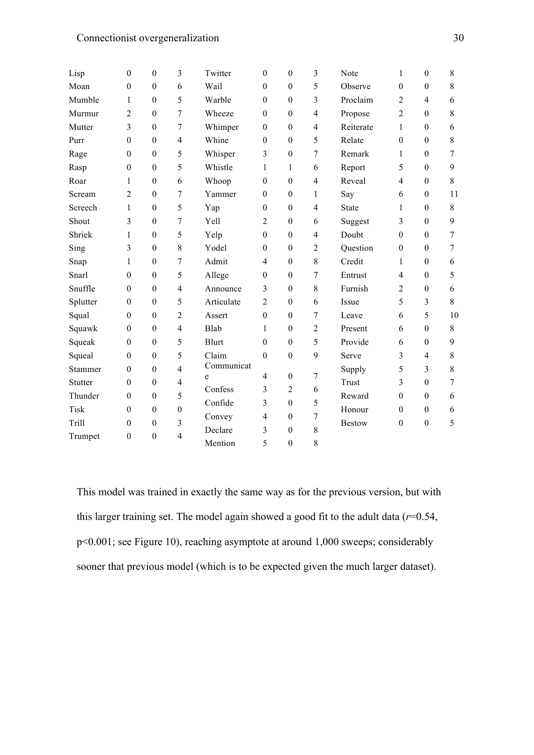| Lisp        | $\theta$         | $\boldsymbol{0}$ | 3                | Twitter      | $\theta$         | $\boldsymbol{0}$ | $\overline{3}$      | Note          | 1                | $\boldsymbol{0}$ | 8                |
|-------------|------------------|------------------|------------------|--------------|------------------|------------------|---------------------|---------------|------------------|------------------|------------------|
| Moan        | $\boldsymbol{0}$ | $\boldsymbol{0}$ | 6                | Wail         | $\boldsymbol{0}$ | $\boldsymbol{0}$ | 5                   | Observe       | $\boldsymbol{0}$ | $\boldsymbol{0}$ | 8                |
| Mumble      | $\mathbf{1}$     | $\boldsymbol{0}$ | 5                | Warble       | $\theta$         | $\boldsymbol{0}$ | 3                   | Proclaim      | $\overline{2}$   | $\overline{4}$   | 6                |
| Murmur      | $\overline{2}$   | $\theta$         | 7                | Wheeze       | $\theta$         | $\boldsymbol{0}$ | $\overline{4}$      | Propose       | $\overline{2}$   | $\theta$         | 8                |
| Mutter      | 3                | $\boldsymbol{0}$ | 7                | Whimper      | $\boldsymbol{0}$ | $\boldsymbol{0}$ | $\overline{4}$      | Reiterate     | 1                | $\boldsymbol{0}$ | 6                |
| Purr        | $\boldsymbol{0}$ | $\boldsymbol{0}$ | $\overline{4}$   | Whine        | $\theta$         | $\boldsymbol{0}$ | 5                   | Relate        | $\boldsymbol{0}$ | $\boldsymbol{0}$ | 8                |
| Rage        | $\theta$         | $\boldsymbol{0}$ | 5                | Whisper      | 3                | $\boldsymbol{0}$ | $\tau$              | Remark        | 1                | $\theta$         | $\overline{7}$   |
| Rasp        | $\boldsymbol{0}$ | $\boldsymbol{0}$ | 5                | Whistle      | 1                | 1                | 6                   | Report        | 5                | $\boldsymbol{0}$ | 9                |
| Roar        | 1                | $\boldsymbol{0}$ | 6                | Whoop        | $\boldsymbol{0}$ | $\boldsymbol{0}$ | $\overline{4}$      | Reveal        | $\overline{4}$   | $\boldsymbol{0}$ | 8                |
| Scream      | 2                | $\boldsymbol{0}$ | 7                | Yammer       | $\theta$         | $\boldsymbol{0}$ | $\mathbf{1}$        | Say           | 6                | $\boldsymbol{0}$ | 11               |
| Screech     | 1                | $\boldsymbol{0}$ | 5                | Yap          | $\theta$         | $\boldsymbol{0}$ | $\overline{4}$      | <b>State</b>  | 1                | $\boldsymbol{0}$ | $\,8\,$          |
| Shout       | 3                | $\boldsymbol{0}$ | 7                | Yell         | $\overline{2}$   | $\boldsymbol{0}$ | 6                   | Suggest       | 3                | $\boldsymbol{0}$ | 9                |
| Shriek      | 1                | $\boldsymbol{0}$ | 5                | Yelp         | $\theta$         | $\boldsymbol{0}$ | $\overline{4}$      | Doubt         | $\mathbf{0}$     | $\boldsymbol{0}$ | $\overline{7}$   |
| Sing        | 3                | $\boldsymbol{0}$ | 8                | Yodel        | $\theta$         | $\boldsymbol{0}$ | $\overline{2}$      | Question      | $\boldsymbol{0}$ | $\boldsymbol{0}$ | $\overline{7}$   |
| Snap        | 1                | $\boldsymbol{0}$ | 7                | Admit        | $\overline{4}$   | $\boldsymbol{0}$ | $\,$ 8 $\,$         | Credit        | 1                | $\boldsymbol{0}$ | 6                |
| Snarl       | $\boldsymbol{0}$ | $\boldsymbol{0}$ | 5                | Allege       | $\theta$         | $\boldsymbol{0}$ | $\tau$              | Entrust       | 4                | $\boldsymbol{0}$ | 5                |
| Snuffle     | $\theta$         | $\boldsymbol{0}$ | $\overline{4}$   | Announce     | 3                | $\boldsymbol{0}$ | 8                   | Furnish       | $\overline{2}$   | $\boldsymbol{0}$ | 6                |
| Splutter    | $\boldsymbol{0}$ | $\boldsymbol{0}$ | 5                | Articulate   | $\overline{2}$   | $\boldsymbol{0}$ | 6                   | Issue         | 5                | 3                | 8                |
| Squal       | $\boldsymbol{0}$ | $\boldsymbol{0}$ | $\overline{2}$   | Assert       | $\boldsymbol{0}$ | $\boldsymbol{0}$ | $\tau$              | Leave         | 6                | 5                | 10               |
| Squawk      | $\mathbf{0}$     | $\boldsymbol{0}$ | $\overline{4}$   | Blab         | 1                | $\boldsymbol{0}$ | $\overline{2}$      | Present       | 6                | $\boldsymbol{0}$ | 8                |
| Squeak      | $\theta$         | $\theta$         | 5                | <b>Blurt</b> | $\theta$         | $\boldsymbol{0}$ | 5                   | Provide       | 6                | $\mathbf{0}$     | 9                |
| Squeal      | $\theta$         | $\boldsymbol{0}$ | 5                | Claim        | $\mathbf{0}$     | $\boldsymbol{0}$ | 9                   | Serve         | 3                | $\overline{4}$   | 8                |
| Stammer     | $\theta$         | $\boldsymbol{0}$ | $\overline{4}$   | Communicat   | $\overline{4}$   | $\boldsymbol{0}$ | $\tau$              | Supply        | 5                | 3                | $8\,$            |
| Stutter     | $\boldsymbol{0}$ | $\boldsymbol{0}$ | $\overline{4}$   | e<br>Confess | 3                |                  |                     | Trust         | 3                | $\boldsymbol{0}$ | $\boldsymbol{7}$ |
| Thunder     | $\mathbf{0}$     | $\boldsymbol{0}$ | 5                |              |                  | $\overline{2}$   | 6                   | Reward        | $\theta$         | $\mathbf{0}$     | 6                |
| <b>Tisk</b> | $\theta$         | $\boldsymbol{0}$ | $\boldsymbol{0}$ | Confide      | 3                | $\boldsymbol{0}$ | 5<br>$\overline{7}$ | Honour        | $\theta$         | $\boldsymbol{0}$ | 6                |
| Trill       | $\boldsymbol{0}$ | $\boldsymbol{0}$ | $\overline{3}$   | Convey       | $\overline{4}$   | $\boldsymbol{0}$ |                     | <b>Bestow</b> | $\boldsymbol{0}$ | $\boldsymbol{0}$ | 5                |
| Trumpet     | $\boldsymbol{0}$ | $\boldsymbol{0}$ | $\overline{4}$   | Declare      | 3                | $\boldsymbol{0}$ | $\,$ 8 $\,$         |               |                  |                  |                  |
|             |                  |                  |                  | Mention      | 5                | $\boldsymbol{0}$ | 8                   |               |                  |                  |                  |

This model was trained in exactly the same way as for the previous version, but with this larger training set. The model again showed a good fit to the adult data (*r*=0.54, p<0.001; see Figure 10), reaching asymptote at around 1,000 sweeps; considerably sooner that previous model (which is to be expected given the much larger dataset).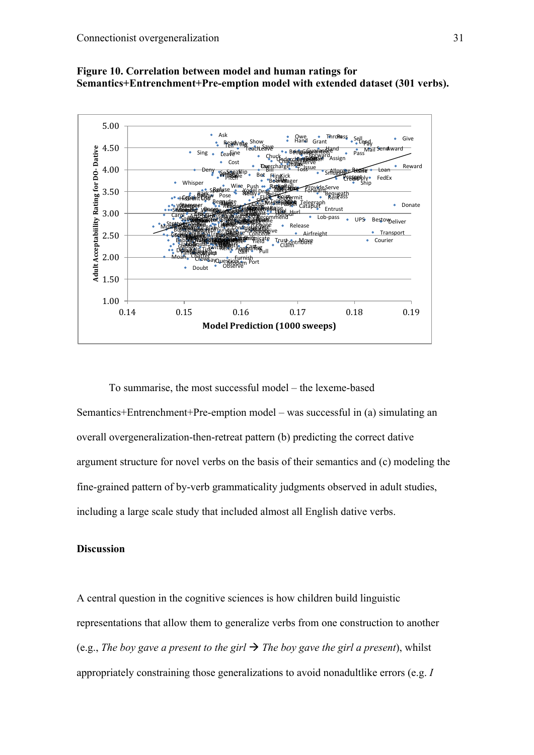



To summarise, the most successful model – the lexeme-based Semantics+Entrenchment+Pre-emption model – was successful in (a) simulating an overall overgeneralization-then-retreat pattern (b) predicting the correct dative argument structure for novel verbs on the basis of their semantics and (c) modeling the fine-grained pattern of by-verb grammaticality judgments observed in adult studies, including a large scale study that included almost all English dative verbs.

# **Discussion**

A central question in the cognitive sciences is how children build linguistic representations that allow them to generalize verbs from one construction to another (e.g., *The boy gave a present to the girl*  $\rightarrow$  *The boy gave the girl a present*), whilst appropriately constraining those generalizations to avoid nonadultlike errors (e.g. *I*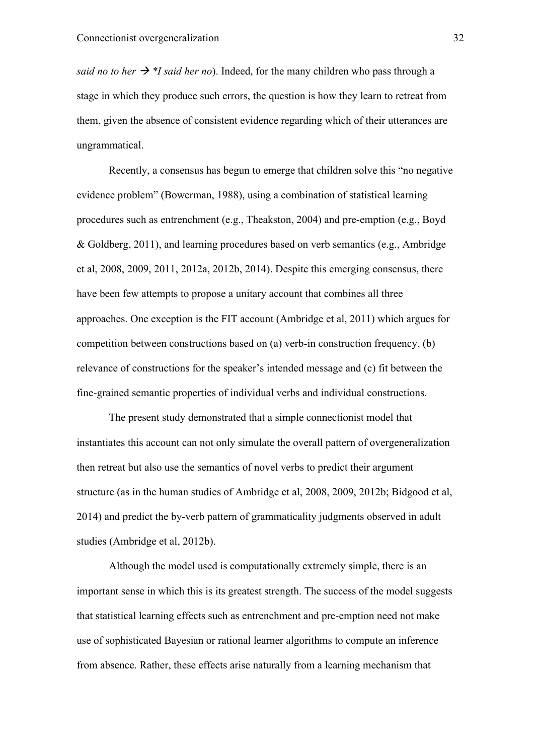*said no to her*  $\rightarrow$  *\*I said her no*). Indeed, for the many children who pass through a stage in which they produce such errors, the question is how they learn to retreat from them, given the absence of consistent evidence regarding which of their utterances are ungrammatical.

Recently, a consensus has begun to emerge that children solve this "no negative evidence problem" (Bowerman, 1988), using a combination of statistical learning procedures such as entrenchment (e.g., Theakston, 2004) and pre-emption (e.g., Boyd & Goldberg, 2011), and learning procedures based on verb semantics (e.g., Ambridge et al, 2008, 2009, 2011, 2012a, 2012b, 2014). Despite this emerging consensus, there have been few attempts to propose a unitary account that combines all three approaches. One exception is the FIT account (Ambridge et al, 2011) which argues for competition between constructions based on (a) verb-in construction frequency, (b) relevance of constructions for the speaker's intended message and (c) fit between the fine-grained semantic properties of individual verbs and individual constructions.

The present study demonstrated that a simple connectionist model that instantiates this account can not only simulate the overall pattern of overgeneralization then retreat but also use the semantics of novel verbs to predict their argument structure (as in the human studies of Ambridge et al, 2008, 2009, 2012b; Bidgood et al, 2014) and predict the by-verb pattern of grammaticality judgments observed in adult studies (Ambridge et al, 2012b).

Although the model used is computationally extremely simple, there is an important sense in which this is its greatest strength. The success of the model suggests that statistical learning effects such as entrenchment and pre-emption need not make use of sophisticated Bayesian or rational learner algorithms to compute an inference from absence. Rather, these effects arise naturally from a learning mechanism that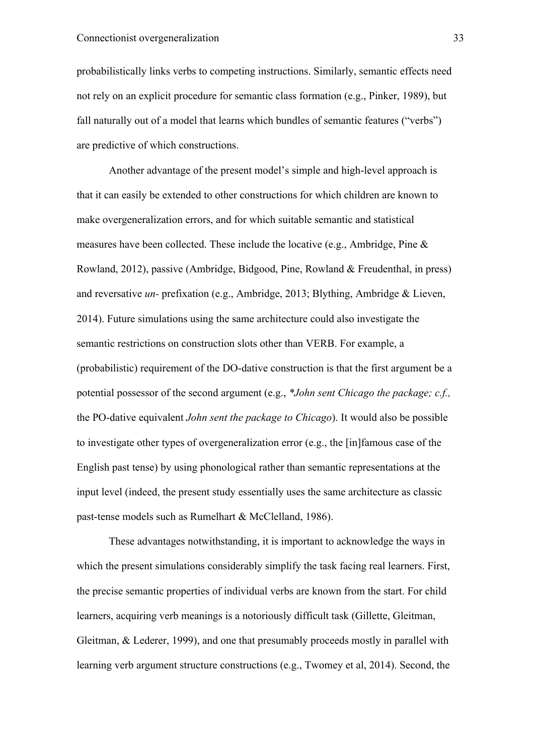probabilistically links verbs to competing instructions. Similarly, semantic effects need not rely on an explicit procedure for semantic class formation (e.g., Pinker, 1989), but fall naturally out of a model that learns which bundles of semantic features ("verbs") are predictive of which constructions.

Another advantage of the present model's simple and high-level approach is that it can easily be extended to other constructions for which children are known to make overgeneralization errors, and for which suitable semantic and statistical measures have been collected. These include the locative (e.g., Ambridge, Pine & Rowland, 2012), passive (Ambridge, Bidgood, Pine, Rowland & Freudenthal, in press) and reversative *un-* prefixation (e.g., Ambridge, 2013; Blything, Ambridge & Lieven, 2014). Future simulations using the same architecture could also investigate the semantic restrictions on construction slots other than VERB. For example, a (probabilistic) requirement of the DO-dative construction is that the first argument be a potential possessor of the second argument (e.g., *\*John sent Chicago the package; c.f.,*  the PO-dative equivalent *John sent the package to Chicago*). It would also be possible to investigate other types of overgeneralization error (e.g., the [in]famous case of the English past tense) by using phonological rather than semantic representations at the input level (indeed, the present study essentially uses the same architecture as classic past-tense models such as Rumelhart & McClelland, 1986).

These advantages notwithstanding, it is important to acknowledge the ways in which the present simulations considerably simplify the task facing real learners. First, the precise semantic properties of individual verbs are known from the start. For child learners, acquiring verb meanings is a notoriously difficult task (Gillette, Gleitman, Gleitman, & Lederer, 1999), and one that presumably proceeds mostly in parallel with learning verb argument structure constructions (e.g., Twomey et al, 2014). Second, the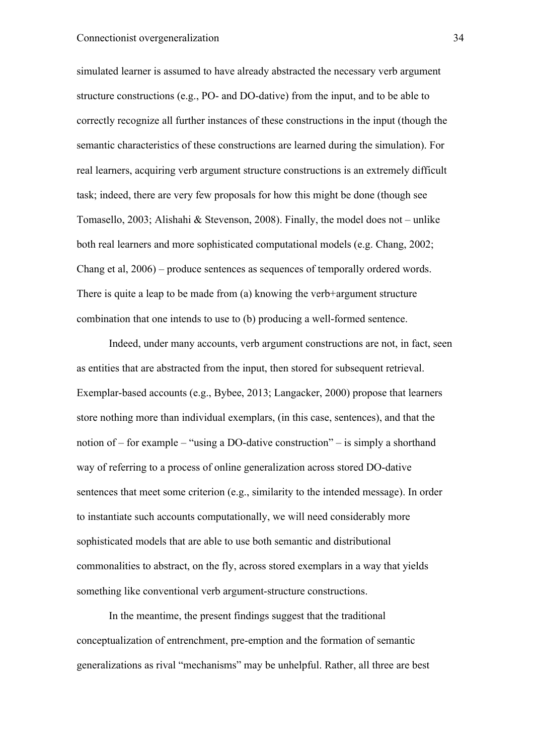simulated learner is assumed to have already abstracted the necessary verb argument structure constructions (e.g., PO- and DO-dative) from the input, and to be able to correctly recognize all further instances of these constructions in the input (though the semantic characteristics of these constructions are learned during the simulation). For real learners, acquiring verb argument structure constructions is an extremely difficult task; indeed, there are very few proposals for how this might be done (though see Tomasello, 2003; Alishahi & Stevenson, 2008). Finally, the model does not – unlike both real learners and more sophisticated computational models (e.g. Chang, 2002; Chang et al, 2006) – produce sentences as sequences of temporally ordered words. There is quite a leap to be made from (a) knowing the verb+argument structure combination that one intends to use to (b) producing a well-formed sentence.

Indeed, under many accounts, verb argument constructions are not, in fact, seen as entities that are abstracted from the input, then stored for subsequent retrieval. Exemplar-based accounts (e.g., Bybee, 2013; Langacker, 2000) propose that learners store nothing more than individual exemplars, (in this case, sentences), and that the notion of – for example – "using a DO-dative construction" – is simply a shorthand way of referring to a process of online generalization across stored DO-dative sentences that meet some criterion (e.g., similarity to the intended message). In order to instantiate such accounts computationally, we will need considerably more sophisticated models that are able to use both semantic and distributional commonalities to abstract, on the fly, across stored exemplars in a way that yields something like conventional verb argument-structure constructions.

In the meantime, the present findings suggest that the traditional conceptualization of entrenchment, pre-emption and the formation of semantic generalizations as rival "mechanisms" may be unhelpful. Rather, all three are best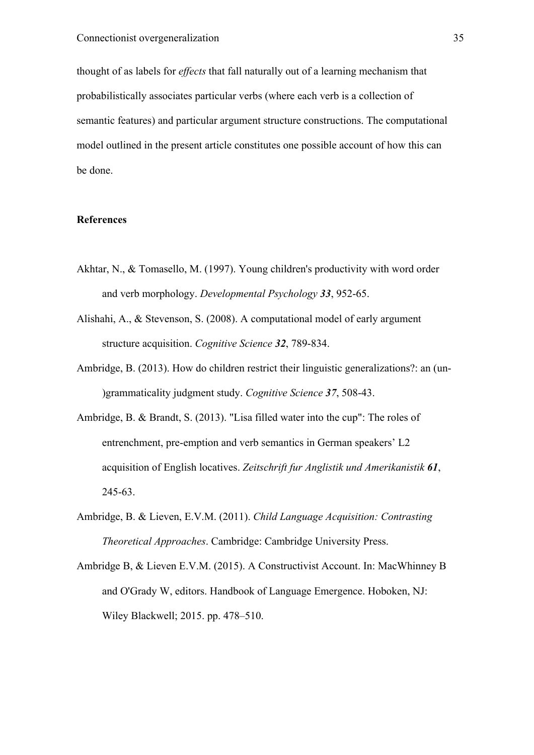thought of as labels for *effects* that fall naturally out of a learning mechanism that probabilistically associates particular verbs (where each verb is a collection of semantic features) and particular argument structure constructions. The computational model outlined in the present article constitutes one possible account of how this can be done.

## **References**

- Akhtar, N., & Tomasello, M. (1997). Young children's productivity with word order and verb morphology. *Developmental Psychology 33*, 952-65.
- Alishahi, A., & Stevenson, S. (2008). A computational model of early argument structure acquisition. *Cognitive Science 32*, 789-834.
- Ambridge, B. (2013). How do children restrict their linguistic generalizations?: an (un- )grammaticality judgment study. *Cognitive Science 37*, 508-43.
- Ambridge, B. & Brandt, S. (2013). "Lisa filled water into the cup": The roles of entrenchment, pre-emption and verb semantics in German speakers' L2 acquisition of English locatives. *Zeitschrift fur Anglistik und Amerikanistik 61*, 245-63.
- Ambridge, B. & Lieven, E.V.M. (2011). *Child Language Acquisition: Contrasting Theoretical Approaches*. Cambridge: Cambridge University Press.
- Ambridge B, & Lieven E.V.M. (2015). A Constructivist Account. In: MacWhinney B and O'Grady W, editors. Handbook of Language Emergence. Hoboken, NJ: Wiley Blackwell; 2015. pp. 478–510.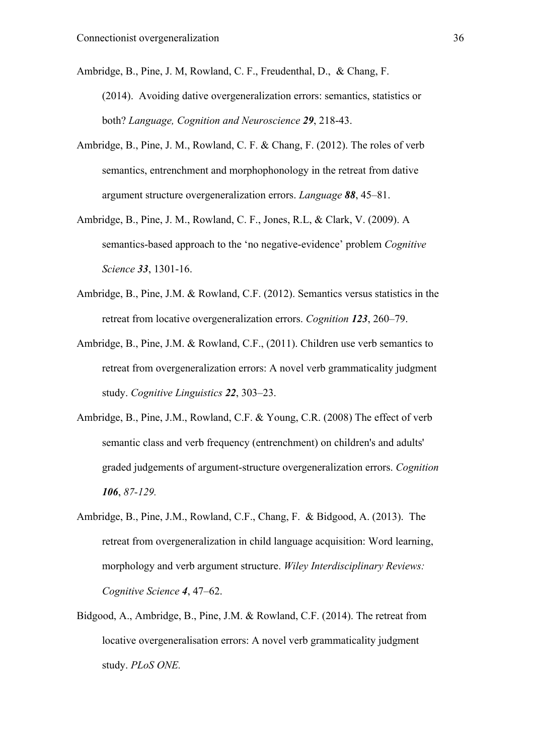Ambridge, B., Pine, J. M, Rowland, C. F., Freudenthal, D., & Chang, F. (2014). Avoiding dative overgeneralization errors: semantics, statistics or both? *Language, Cognition and Neuroscience 29*, 218-43.

- Ambridge, B., Pine, J. M., Rowland, C. F. & Chang, F. (2012). The roles of verb semantics, entrenchment and morphophonology in the retreat from dative argument structure overgeneralization errors. *Language 88*, 45–81.
- Ambridge, B., Pine, J. M., Rowland, C. F., Jones, R.L, & Clark, V. (2009). A semantics-based approach to the 'no negative-evidence' problem *Cognitive Science 33*, 1301-16.
- Ambridge, B., Pine, J.M. & Rowland, C.F. (2012). Semantics versus statistics in the retreat from locative overgeneralization errors. *Cognition 123*, 260–79.
- Ambridge, B., Pine, J.M. & Rowland, C.F., (2011). Children use verb semantics to retreat from overgeneralization errors: A novel verb grammaticality judgment study. *Cognitive Linguistics 22*, 303–23.
- Ambridge, B., Pine, J.M., Rowland, C.F. & Young, C.R. (2008) The effect of verb semantic class and verb frequency (entrenchment) on children's and adults' graded judgements of argument-structure overgeneralization errors. *Cognition 106*, *87-129.*
- Ambridge, B., Pine, J.M., Rowland, C.F., Chang, F. & Bidgood, A. (2013). The retreat from overgeneralization in child language acquisition: Word learning, morphology and verb argument structure. *Wiley Interdisciplinary Reviews: Cognitive Science 4*, 47–62.
- Bidgood, A., Ambridge, B., Pine, J.M. & Rowland, C.F. (2014). The retreat from locative overgeneralisation errors: A novel verb grammaticality judgment study. *PLoS ONE.*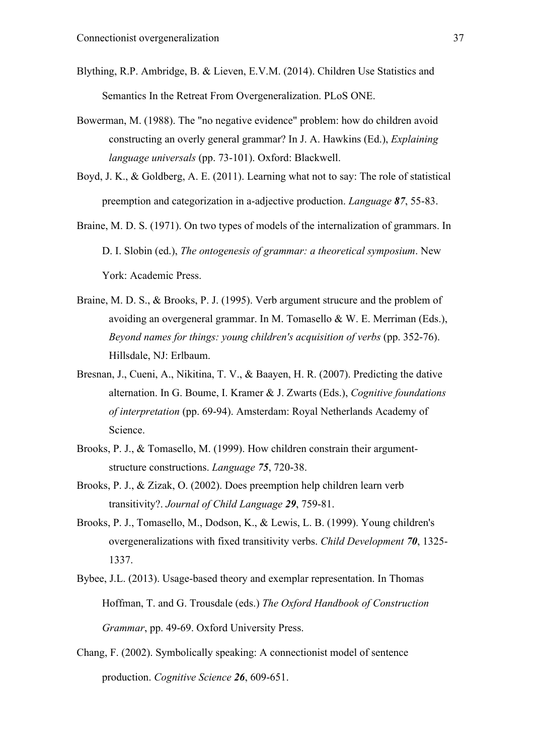- Blything, R.P. Ambridge, B. & Lieven, E.V.M. (2014). Children Use Statistics and Semantics In the Retreat From Overgeneralization. PLoS ONE.
- Bowerman, M. (1988). The "no negative evidence" problem: how do children avoid constructing an overly general grammar? In J. A. Hawkins (Ed.), *Explaining language universals* (pp. 73-101). Oxford: Blackwell.
- Boyd, J. K., & Goldberg, A. E. (2011). Learning what not to say: The role of statistical preemption and categorization in a-adjective production. *Language 87*, 55-83.
- Braine, M. D. S. (1971). On two types of models of the internalization of grammars. In D. I. Slobin (ed.), *The ontogenesis of grammar: a theoretical symposium*. New York: Academic Press.
- Braine, M. D. S., & Brooks, P. J. (1995). Verb argument strucure and the problem of avoiding an overgeneral grammar. In M. Tomasello & W. E. Merriman (Eds.), *Beyond names for things: young children's acquisition of verbs* (pp. 352-76). Hillsdale, NJ: Erlbaum.
- Bresnan, J., Cueni, A., Nikitina, T. V., & Baayen, H. R. (2007). Predicting the dative alternation. In G. Boume, I. Kramer & J. Zwarts (Eds.), *Cognitive foundations of interpretation* (pp. 69-94). Amsterdam: Royal Netherlands Academy of Science.
- Brooks, P. J., & Tomasello, M. (1999). How children constrain their argumentstructure constructions. *Language 75*, 720-38.
- Brooks, P. J., & Zizak, O. (2002). Does preemption help children learn verb transitivity?. *Journal of Child Language 29*, 759-81.
- Brooks, P. J., Tomasello, M., Dodson, K., & Lewis, L. B. (1999). Young children's overgeneralizations with fixed transitivity verbs. *Child Development 70*, 1325- 1337.
- Bybee, J.L. (2013). Usage-based theory and exemplar representation. In Thomas Hoffman, T. and G. Trousdale (eds.) *The Oxford Handbook of Construction Grammar*, pp. 49-69. Oxford University Press.
- Chang, F. (2002). Symbolically speaking: A connectionist model of sentence production. *Cognitive Science 26*, 609-651.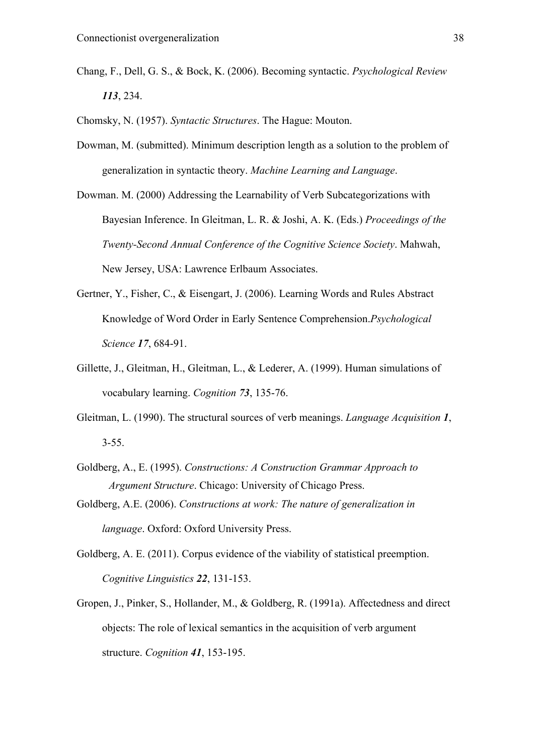- Chang, F., Dell, G. S., & Bock, K. (2006). Becoming syntactic. *Psychological Review 113*, 234.
- Chomsky, N. (1957). *Syntactic Structures*. The Hague: Mouton.
- Dowman, M. (submitted). Minimum description length as a solution to the problem of generalization in syntactic theory. *Machine Learning and Language*.
- Dowman. M. (2000) Addressing the Learnability of Verb Subcategorizations with Bayesian Inference. In Gleitman, L. R. & Joshi, A. K. (Eds.) *Proceedings of the Twenty-Second Annual Conference of the Cognitive Science Society*. Mahwah, New Jersey, USA: Lawrence Erlbaum Associates.
- Gertner, Y., Fisher, C., & Eisengart, J. (2006). Learning Words and Rules Abstract Knowledge of Word Order in Early Sentence Comprehension.*Psychological Science 17*, 684-91.
- Gillette, J., Gleitman, H., Gleitman, L., & Lederer, A. (1999). Human simulations of vocabulary learning. *Cognition 73*, 135-76.
- Gleitman, L. (1990). The structural sources of verb meanings. *Language Acquisition 1*, 3-55.
- Goldberg, A., E. (1995). *Constructions: A Construction Grammar Approach to Argument Structure*. Chicago: University of Chicago Press.
- Goldberg, A.E. (2006). *Constructions at work: The nature of generalization in language*. Oxford: Oxford University Press.
- Goldberg, A. E. (2011). Corpus evidence of the viability of statistical preemption. *Cognitive Linguistics 22*, 131-153.
- Gropen, J., Pinker, S., Hollander, M., & Goldberg, R. (1991a). Affectedness and direct objects: The role of lexical semantics in the acquisition of verb argument structure. *Cognition 41*, 153-195.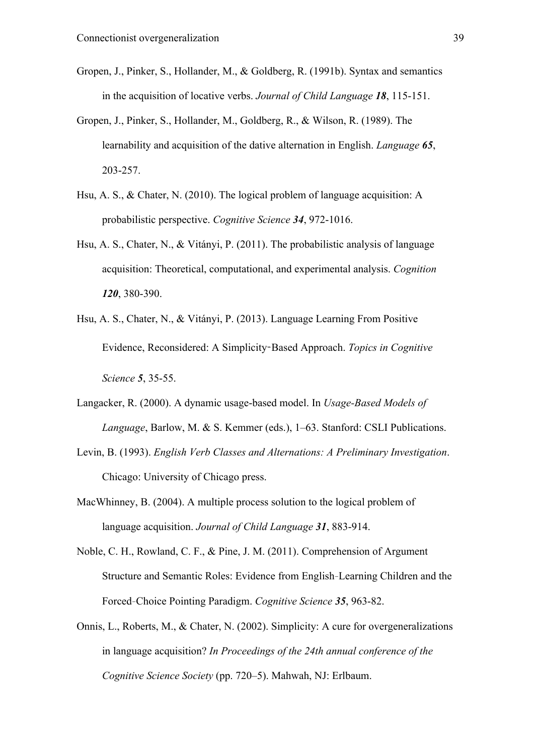- Gropen, J., Pinker, S., Hollander, M., & Goldberg, R. (1991b). Syntax and semantics in the acquisition of locative verbs. *Journal of Child Language 18*, 115-151.
- Gropen, J., Pinker, S., Hollander, M., Goldberg, R., & Wilson, R. (1989). The learnability and acquisition of the dative alternation in English. *Language 65*, 203-257.
- Hsu, A. S., & Chater, N. (2010). The logical problem of language acquisition: A probabilistic perspective. *Cognitive Science 34*, 972-1016.
- Hsu, A. S., Chater, N., & Vitányi, P. (2011). The probabilistic analysis of language acquisition: Theoretical, computational, and experimental analysis. *Cognition 120*, 380-390.
- Hsu, A. S., Chater, N., & Vitányi, P. (2013). Language Learning From Positive Evidence, Reconsidered: A Simplicity-Based Approach. *Topics in Cognitive Science 5*, 35-55.
- Langacker, R. (2000). A dynamic usage-based model. In *Usage-Based Models of Language*, Barlow, M. & S. Kemmer (eds.), 1–63. Stanford: CSLI Publications.
- Levin, B. (1993). *English Verb Classes and Alternations: A Preliminary Investigation*. Chicago: University of Chicago press.
- MacWhinney, B. (2004). A multiple process solution to the logical problem of language acquisition. *Journal of Child Language 31*, 883-914.
- Noble, C. H., Rowland, C. F., & Pine, J. M. (2011). Comprehension of Argument Structure and Semantic Roles: Evidence from English‐Learning Children and the Forced‐Choice Pointing Paradigm. *Cognitive Science 35*, 963-82.
- Onnis, L., Roberts, M., & Chater, N. (2002). Simplicity: A cure for overgeneralizations in language acquisition? *In Proceedings of the 24th annual conference of the Cognitive Science Society* (pp. 720–5). Mahwah, NJ: Erlbaum.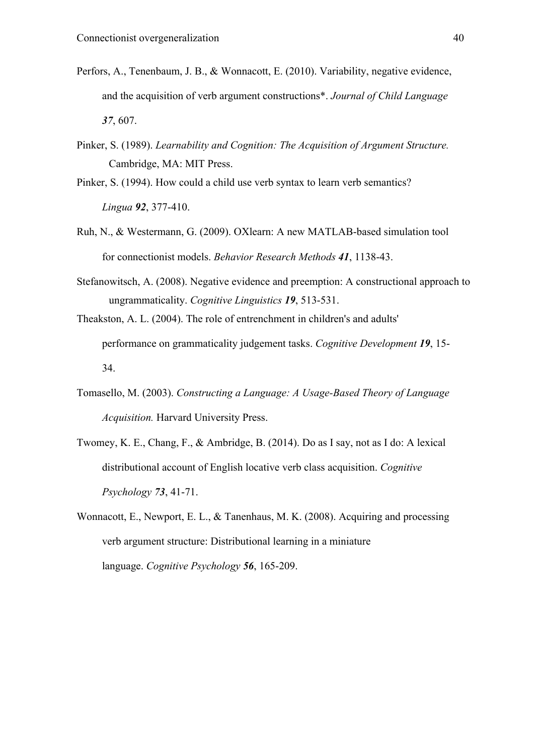- Perfors, A., Tenenbaum, J. B., & Wonnacott, E. (2010). Variability, negative evidence, and the acquisition of verb argument constructions\*. *Journal of Child Language 37*, 607.
- Pinker, S. (1989). *Learnability and Cognition: The Acquisition of Argument Structure.* Cambridge, MA: MIT Press.
- Pinker, S. (1994). How could a child use verb syntax to learn verb semantics? *Lingua 92*, 377-410.
- Ruh, N., & Westermann, G. (2009). OXlearn: A new MATLAB-based simulation tool for connectionist models. *Behavior Research Methods 41*, 1138-43.
- Stefanowitsch, A. (2008). Negative evidence and preemption: A constructional approach to ungrammaticality. *Cognitive Linguistics 19*, 513-531.
- Theakston, A. L. (2004). The role of entrenchment in children's and adults' performance on grammaticality judgement tasks. *Cognitive Development 19*, 15- 34.
- Tomasello, M. (2003). *Constructing a Language: A Usage-Based Theory of Language Acquisition.* Harvard University Press.
- Twomey, K. E., Chang, F., & Ambridge, B. (2014). Do as I say, not as I do: A lexical distributional account of English locative verb class acquisition. *Cognitive Psychology 73*, 41-71.
- Wonnacott, E., Newport, E. L., & Tanenhaus, M. K. (2008). Acquiring and processing verb argument structure: Distributional learning in a miniature language. *Cognitive Psychology 56*, 165-209.